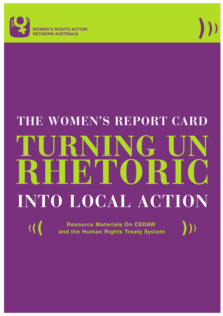

# THE WOMEN'S REPORT CARD **KNING RTORI** INTO LOCAL ACTION

 **2ESOURCE -ATERIALS /N #%\$!7 AND THE (UMAN 2IGHTS 4REATY 3YSTEM**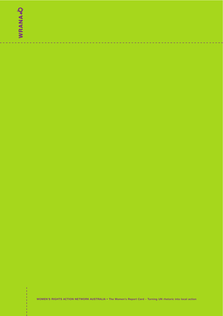# WRANA+O

**7/00MEN'S RIGHTS ACTION NETWORK AUSTRALIA** . The Women's Report Card - Turning UN rhetoric into local action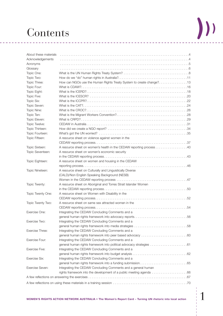### **Contents**

1

 $\mathbf{I}$ 

| About these materials |                                                                      |  |
|-----------------------|----------------------------------------------------------------------|--|
| Acknowledgements      |                                                                      |  |
| Acronyms              |                                                                      |  |
| Glossary              |                                                                      |  |
| Topic One:            |                                                                      |  |
| Topic Two:            |                                                                      |  |
| Topic Three:          | How can NGOs use the Human Rights Treaty System to create change?13  |  |
| Topic Four:           |                                                                      |  |
| Topic Eight:          |                                                                      |  |
| Topic Five:           |                                                                      |  |
| Topic Six:            |                                                                      |  |
| Topic Seven:          |                                                                      |  |
| Topic Nine:           |                                                                      |  |
| Topic Ten:            |                                                                      |  |
| Topic Eleven:         |                                                                      |  |
| Topic Twelve:         |                                                                      |  |
| Topic Thirteen:       |                                                                      |  |
| Topic Fourteen:       |                                                                      |  |
| Topic Fifteen:        | A resource sheet on violence against women in the                    |  |
|                       |                                                                      |  |
| Topic Sixteen:        | A resource sheet on women's health in the CEDAW reporting process 40 |  |
| Topic Seventeen:      | A resource sheet on women's economic security                        |  |
|                       |                                                                      |  |
| Topic Eighteen:       | A resource sheet on women and housing in the CEDAW                   |  |
|                       |                                                                      |  |
| Topic Nineteen:       | A resource sheet on Culturally and Linguistically Diverse            |  |
|                       | (CALD)/Non English Speaking Background (NESB)                        |  |
|                       |                                                                      |  |
| Topic Twenty:         | A resource sheet on Aboriginal and Torres Strait Islander Women      |  |
|                       |                                                                      |  |
| Topic Twenty One:     | A resource sheet on Women with Disability in the                     |  |
|                       |                                                                      |  |
| Topic Twenty Two:     | A resource sheet on same sex attracted women in the                  |  |
|                       |                                                                      |  |
| Exercise One:         | Integrating the CEDAW Concluding Comments and a                      |  |
|                       |                                                                      |  |
| Exercise Two:         | Integrating the CEDAW Concluding Comments and a                      |  |
|                       |                                                                      |  |
| Exercise Three:       | Integrating the CEDAW Concluding Comments and a                      |  |
|                       |                                                                      |  |
| Exercise Four:        | Integrating the CEDAW Concluding Comments and a                      |  |
|                       |                                                                      |  |
| <b>Exercise Five:</b> | Integrating the CEDAW Concluding Comments and a                      |  |
|                       |                                                                      |  |
| Exercise Six:         | Integrating the CEDAW Concluding Comments and a                      |  |
|                       |                                                                      |  |
| Exercise Seven:       | Integrating the CEDAW Concluding Comments and a general human        |  |
|                       | rights framework into the development of a public meeting agenda 66  |  |
|                       |                                                                      |  |
|                       |                                                                      |  |
|                       |                                                                      |  |

**7/00 MEN'S RIGHTS ACTION NETWORK AUSTRALIA . The Women's Report Card - Turning UN rhetoric into local action**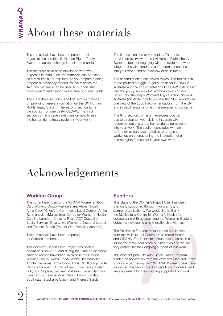# Q+ANARV About these materials

These materials have been prepared to help organisations use the UN Human Rights Treaty System to achieve change in their communities.

The materials have been developed with two purposes in mind. One, the materials can be used as a resource kit to "dip into" as you prepare funding proposals, advocacy reports, media releases etc. Two, the materials can be used to support staff development and training in the area of human rights.

There are three sections. The first section focuses on providing general information on the UN Human Rights Treaty System. The second section turns the spotlight on one treaty, CEDAW. The third section contains seven exercises on how to use the human rights treaty system in your work.

The first section has eleven topics. The topics provide an overview of the UN Human Rights Treaty System, steps for engaging with the system, how to integrate the UN standards and recommendations into your work, and an overview of each treaty.

The second section has eleven topics. The topics look at the political struggle to get support for CEDAW in Australia and the implementation of CEDAW in Australian law and policy, reviews the Women's Report Card project and the steps Women's Rights Action Network Australia (WRANA) took to prepare the NGO reports, an overview of the 2006 Recommendations from the UN and in depth material on eight issue specific concerns.

The third section contains 7 exercises you can use to strengthen your skills to integrate UN recommendations and a human rights framework into your work. The section concludes with an outline for using these materials to run a short workshop on strengthening the integration of a human rights framework in your own work.

## Acknowledgements

#### **Working Group**

The current members of the WRANA Women's Report Card Working Group Members are: Alexis Tindall, Anna Cody (Kingsford Community Legal Centre), Amira Rahmanovich (Multicultural Centre for Women's Health), Caroline Lambert, Christina Ryan (ACT Council of Social Service), Erica Lewis (Women's Electoral Lobby) and Therese Sands (People With Disability Australia).

These materials have been prepared by Caroline Lambert.

The Women's Report Card Project has been in operation since 2002 and during that time an incredible array of women have been involved in the National Working Group: Alexis Tindall, Amira Rahmanovich, Amrita Dasvarma, Anna Cody, Annie Pettitt, Brigid Inder, Caroline Lambert, Christina Ryan, Erica Lewis, Evelyn Loh, Juli Dugdale, Kathleen Maltzahn, Ladan Rahmani, Lara Fergus, Leanne Miller, Naomi Brown, Shirley Southgate, Stephanie Cauchi and Therese Sands.

#### **Funders**

Women's Report Card has been<br>ted through two grants and<br>ted through two grants and<br>cons. We would like to thank<br>Centre for Women's Health for<br>us again and the Women's Electoral<br>ping a new relationship with us.<br>bundation fu This stage of the Women's Report Card has been financially supported through two grants and partner organisations. We would like to thank the Multicultural Centre for Women's Health for collaborating with us again and the Women's Electoral Lobby for developing a new relationship with us.

The Reichstein Foundation funded an application from the Multicultural Centre for Women's Health and WRANA. The Reichstein Foundation has been a supporter of WRANA since our inception and we are very grateful for their ongoing support of our work.

The WomenSpeak Network Small Grants Program funded an application from the Women's Electoral Lobby to work in partnership with WRANA. WomenSpeak have supported the Report Card Project from the outset and we are grateful for their ongoing support of our work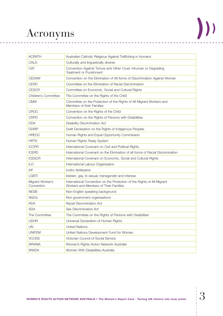# Acronyms

| ACRATH                         | Australian Catholic Religious Against Trafficking in Humans                                                      |
|--------------------------------|------------------------------------------------------------------------------------------------------------------|
| CALD                           | Culturally and linguistically diverse                                                                            |
| CAT                            | Convention Against Torture and Other Cruel, Inhuman or Degrading<br>Treatment or Punishment                      |
| <b>CEDAW</b>                   | Convention on the Elimination of All forms of Discrimination Against Women                                       |
| <b>CERD</b>                    | Committee on the Elimination of Racial Discrimination                                                            |
| <b>CESCR</b>                   | Committee on Economic, Social and Cultural Rights                                                                |
| Children's Committee           | The Committee on the Rights of the Child                                                                         |
| CMW                            | Committee on the Protection of the Rights of All Migrant Workers and<br>Members of their Families                |
| <b>CROC</b>                    | Convention on the Rights of the Child                                                                            |
| <b>CRPD</b>                    | Convention on the Rights of Persons with Disabilities                                                            |
| <b>DDA</b>                     | Disability Discrimination Act                                                                                    |
| <b>DDRIP</b>                   | Draft Declaration on the Rights of Indigenous Peoples                                                            |
| <b>HREOC</b>                   | Human Rights and Equal Opportunity Commission                                                                    |
| <b>HRTS</b>                    | Human Rights Treaty System                                                                                       |
| <b>ICCPR</b>                   | International Covenant on Civil and Political Rights                                                             |
| <b>ICERD</b>                   | International Covenant on the Elimination of all forms of Racial Discrimination                                  |
| <b>ICESCR</b>                  | International Covenant on Economic, Social and Cultural Rights                                                   |
| <b>ILO</b>                     | International Labour Organisation                                                                                |
| <b>IVF</b>                     | Invitro fertilisation                                                                                            |
| <b>LGBTI</b>                   | lesbian, gay, bi sexual, transgender and intersex                                                                |
| Migrant Worker's<br>Convention | International Convention on the Protection of the Rights of All Migrant<br>Workers and Members of Their Families |
| <b>NESB</b>                    | Non-English speaking background                                                                                  |
| <b>NGOs</b>                    | Non government organisations                                                                                     |
| <b>RDA</b>                     | Racial Discrimination Act                                                                                        |
| <b>SDA</b>                     | Sex Discrimination Act                                                                                           |
| The Committee                  | The Committee on the Rights of Persons with Disabilities                                                         |
| <b>UDHR</b>                    | Universal Declaration of Human Rights                                                                            |
| UN                             | <b>United Nations</b>                                                                                            |
| <b>UNIFEM</b>                  | United Nations Development Fund for Women                                                                        |
| <b>VCOSS</b>                   | Victorian Council of Social Service                                                                              |
| <b>WRANA</b>                   | Women's Rights Action Network Australia                                                                          |
| <b>WWDA</b>                    | Women With Disabilities Australia                                                                                |

--------------------------------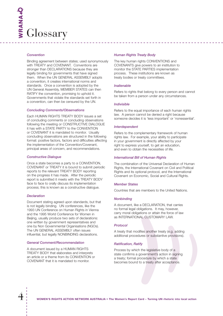# Glossary

#### *Convention*

Binding agreement between states; used synonymously with TREATY and COVENANT. Conventions are stronger than DECLARATIONS because they are legally binding for governments that have signed them. When the UN GENERAL ASSEMBLY adopts a convention, it creates international norms and standards. Once a convention is adopted by the UN General Assembly, MEMBER STATES can then RATIFY the convention, promising to uphold it. Governments that violate the standards set forth in a convention, can then be censured by the UN.

#### *Concluding Comments/Observations*

Each HUMAN RIGHTS TREATY BODY issues a set of concluding comments or concluding observations following the meeting or CONSTRUCTIVE DIALOGUE it has with a STATE PARTY to the CONVENTION or COVENANT it is mandated to monitor. Usually concluding observations are structured in the following format: positive factors, factors and difficulties affecting the implementation of the Convention/Covenant, principal areas of concern, and recommendations.

#### *Constructive Dialogue*

Once a state becomes a party to a CONVENTION, COVENANT or TREATY it is bound to submit periodic reports to the relevant TREATY BODY reporting on the progress it has made. After the periodic report is submitted it meets with the TREATY BODY face to face to orally discuss its implementation process; this is known as a constructive dialogue.

#### *Declaration*

Document stating agreed upon standards, but that is not legally binding. UN conferences, like the 1993 UN Conference on Human Rights in Vienna and the 1995 World Conference for Women in Beijing, usually produce two sets of declarations: one written by government representatives and one by Non Governmental Organisations (NGOs). The UN GENERAL ASSEMBLY often issues influential, but legally NONBINDING declarations.

#### *General Comment/Recommendation*

A document issued by a HUMAN RIGHTS TREATY BODY that elaborates and interprets an article or a theme from its CONVENTION or COVENANT that it is mandated to monitor.

#### *Human Rights Treaty Body*

The key human rights CONVENTIONS and COVENANTS give powers to an institution to monitor the STATE PARTIES implementation process. These institutions are known as treaty bodies or treaty committees.

#### *Inalienable*

Refers to rights that belong to every person and cannot be taken from a person under any circumstances.

#### *Indivisible*

Refers to the equal importance of each human rights law. A person cannot be denied a right because someone decides it is 'less important' or 'nonessential'.

#### *Interdependent*

Refers to the complementary framework of human rights law. For example, your ability to participate in your government is directly affected by your right to express yourself, to get an education, and even to obtain the necessities of life.

#### *International Bill of Human Rights*

The combination of the Universal Declaration of Human Rights, the International Covenant on Civil and Political Rights and its optional protocol, and the International Covenant on Economic, Social and Cultural Rights.

#### *Member States*

Countries that are members to the United Nations.

#### *Nonbinding*

tional protocol, and the International<br>phomic, Social and Cultural Rights.<br>e members to the United Nations.<br>a DECLARATION, that carries<br>bligations. It may, however,<br>ations or attain the force of law<br>JAL CUSTOMARY LAW.<br>difi A document, like a DECLARATION, that carries no formal legal obligations. It may, however, carry moral obligations or attain the force of law as INTERNATIONAL CUSTOMARY LAW.

#### *Protocol*

A treaty that modifies another treaty (e.g. adding additional procedures or substantive provisions).

#### *Ratification, Ratify*

Process by which the legislative body of a state confirms a government's action in signing a treaty; formal procedure by which a state becomes bound to a treaty after acceptance.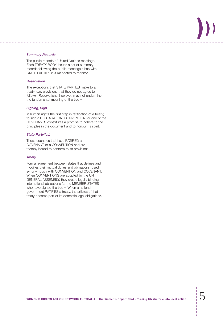#### *Summary Records*

The public records of United Nations meetings. Each TREATY BODY issues a set of summary records following the public meetings it has with STATE PARTIES it is mandated to monitor.

<u> 2010 - 2010 - 2010 - 2010 - 2010 - 20</u>

#### *Reservation*

The exceptions that STATE PARTIES make to a treaty (e.g. provisions that they do not agree to follow). Reservations, however, may not undermine the fundamental meaning of the treaty.

#### *Signing, Sign*

In human rights the first step in ratification of a treaty; to sign a DECLARATION, CONVENTION, or one of the COVENANTS constitutes a promise to adhere to the principles in the document and to honour its spirit.

#### *State Party(ies)*

Those countries that have RATIFIED a COVENANT or a CONVENTION and are thereby bound to conform to its provisions.

#### *Treaty*

Formal agreement between states that defines and modifies their mutual duties and obligations; used synonymously with CONVENTION and COVENANT. When CONVENTIONS are adopted by the UN GENERAL ASSEMBLY, they create legally binding international obligations for the MEMBER STATES who have signed the treaty. When a national government RATIFIES a treaty, the articles of that treaty become part of its domestic legal obligations.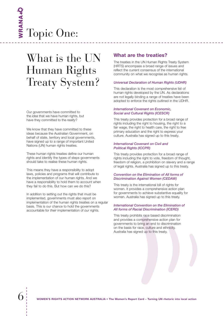# WRANA+O Topic One:

### What is the UN Human Rights Treaty System?

Our governments have committed to the *idea* that we have human rights, but have they committed to the *reality*?

We know that they have committed to these ideas because the Australian Government, on behalf of state, territory and local governments, have signed up to a range of important United Nations (UN) human rights treaties.

These human rights treaties define our human rights and identify the types of steps governments should take to realise these human rights.

This means they have a responsibility to adopt laws, policies and programs that will contribute to the implementation of our human rights. And we have a responsibility to hold them to account when they fail to do this. But how can we do this?

In addition to setting out the rights that must be implemented, governments must also report on implementation of the human rights treaties on a regular basis. This is our chance to hold the governments accountable for *their* implementation of *our* rights.

#### *What are the treaties?*

The treaties in the UN Human Rights Treaty System (HRTS) encompass a broad range of issues and reflect the current consensus of the international community on what we recognise as human rights.

#### *Universal Declaration of Human Rights (UDHR)*

This declaration is the most comprehensive list of human rights developed by the UN. As declarations are not legally binding a range of treaties have been adopted to enforce the rights outlined in the UDHR.

#### *International Covenant on Economic, Social and Cultural Rights (ICESCR)*

This treaty provides protection for a broad range of rights including the right to housing, the right to a fair wage, the right to health care, the right to free primary education and the right to express your culture. Australia has signed up to this treaty.

#### *International Covenant on Civil and Political Rights (ICCPR)*

This treaty provides protection for a broad range of rights including the right to vote, freedom of thought, freedom of religion, a prohibition on slavery and a range of legal rights. Australia has signed up to this treaty.

#### *Convention on the Elimination of All forms of Discrimination Against Women (CEDAW)*

This treaty is the international bill of rights for women. It provides a comprehensive action plan for governments to achieve substantive equality for women. Australia has signed up to this treaty.

#### *International Convention on the Elimination of All forms of Racial Discrimination (ICERD)*

the Elimination of All forms of<br>Igainst Women (CEDAW)<br>
international bill of rights for<br>
es a comprehensive action plan<br>
to achieve substantive equality for<br>
has signed up to this treaty.<br> **nvention on the Elimination of**<br> This treaty prohibits race based discrimination and provides a comprehensive action plan for governments to bring an end to discrimination on the basis for race, culture and ethnicity. Australia has signed up to this treaty.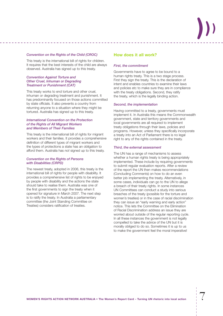7

#### *Convention on the Rights of the Child (CROC)*

This treaty is the international bill of rights for children. It requires that the best interests of the child are always observed. Australia has signed up to this treaty.

#### *Convention Against Torture and Other Cruel, Inhuman or Degrading Treatment or Punishment (CAT)*

This treaty works to end torture and other cruel, inhuman or degrading treatment and punishment. It has predominantly focused on those actions committed by state officials. It also prevents a country from returning anyone to a situation where they might be tortured. Australia has signed up to this treaty.

#### *International Convention on the Protection of the Rights of All Migrant Workers and Members of Their Families*

This treaty is the international bill of rights for migrant workers and their families. It provides a comprehensive definition of different types of migrant workers and the types of protections a state has an obligation to afford them. Australia has *not* signed up to this treaty.

#### *Convention on the Rights of Persons with Disabilities (CRPD)*

The newest treaty, adopted in 2006, this treaty is the international bill of rights for people with disability. It provides a comprehensive list of rights to be enjoyed by people with disability and the actions the state should take to realise them. Australia was one of the first governments to sign the treaty when it opened for signature in March 2007. The next step is to ratify the treaty. In Australia a parliamentary committee (the Joint Standing Committee on Treaties) considers ratification of treaties.

#### **How does it all work?**

#### *First, the commitment*

Governments have to agree to be bound to a human rights treaty. This is a two stage process. First they sign the treaty. This is the declaration of intent and enables countries to examine their laws and policies etc to make sure they are in compliance with the treaty obligations. Second, they ratify the treaty, which is the legally binding action.

#### *Second, the implementation*

Having committed to a treaty, governments must implement it. In Australia this means the Commonwealth government, state and territory governments and local governments are all required to implement treaty obligations through their laws, policies and programs. However, unless they specifically incorporate a treaty into an Act of Parliament there is no legal right to any of the rights contained in the treaty.

#### *Third, the external assessment*

The UN has a range of mechanisms to assess whether a human rights treaty is being appropriately implemented. These include by requiring governments to submit regular evaluation reports. After a review of the report the UN then makes recommendations (Concluding Comments) on how to do an even better job implementing the treaty. Alternatively, in some cases, individuals can go to the UN to allege a breach of their treaty rights. In some instances UN Committees can conduct a study into serious breaches of the treaty (possible for the torture and women's treaties) or in the case of racial discrimination they can issue an "early warning and early action" notice. This lets the Committee on the Elimination of Racial Discrimination address an issue they are worried about outside of the regular reporting cycle. In all these instances the government is not legally compelled to take the advice of the UN but it is morally obliged to do so. Sometimes it is up to us to make the government feel the moral imperative!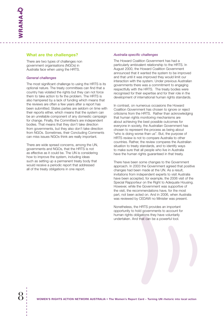#### **What are the challenges?**

There are two types of challenges non government organisations (NGOs) in Australia face when using the HRTS.

#### *General challenges*

The most significant challenge to using the HRTS is its optional nature. The treaty committees can find that a country has violated the rights but they can not force them to take action to fix the problem. The HRTS is also hampered by a lack of funding which means that the reviews are often a few years after a report has been submitted. States parties are seldom on time with their reports either, which means that the system can be an unreliable component of any domestic campaign for change. Finally, the Committee's are independent bodies. That means that they don't take direction from governments, but they also don't take direction from NGOs. Sometimes, their Concluding Comments can miss issues NGOs think are really important.

There are wide spread concerns, among the UN, governments and NGOs, that the HRTS is not as effective as it could be. The UN is considering how to improve the system, including ideas such as setting up a permanent treaty body that would receive a periodic report that addressed all of the treaty obligations in one report.

#### *Australia specific challenges*

The Howard Coalition Government has had a particularly ambivalent relationship to the HRTS. In August 2000, the Howard Coalition Government announced that it wanted the system to be improved and that until it was improved they would limit our interaction with the system. Under previous Australian governments there was a commitment to engaging respectfully with the HRTS. The treaty bodies were recognised for their expertise and for their role in the development of international human rights standards.

In contrast, on numerous occasions the Howard Coalition Government has chosen to ignore or reject criticisms from the HRTS. Rather than acknowledging that human rights monitoring mechanisms are about achieving the best possible outcomes for everyone in society, the Australian Government has chosen to represent the process as being about "who is doing worse than us". But, the purpose of HRTS review is not to compare Australia to other countries. Rather, the review compares the Australian situation to treaty standards, and to identify ways to make sure that all people who live in Australia have the human rights guaranteed in that treaty.

dependent experts to visit Australia<br>ted, for example, the 2006 visit of the<br>ur on the Right to Adequate Housing.<br>le Government was supportive of<br>mmendations have, for the most<br>ted on. And in 2006, when Australia<br>CEDAW no There have been some changes to the Government approach. In 2003 the Government agreed that positive changes had been made at the UN. As a result, invitations from independent experts to visit Australia have been accepted, for example, the 2006 visit of the Special Rapporteur on the Right to Adequate Housing. However, while the Government was supportive of the visit, the recommendations have, for the most part, not been acted on. And in 2006, when Australia was reviewed by CEDAW no Minister was present.

Nonetheless, the HRTS provides an important opportunity to hold governments to account for human rights obligations they have voluntarily undertaken. And that can be a powerful tool.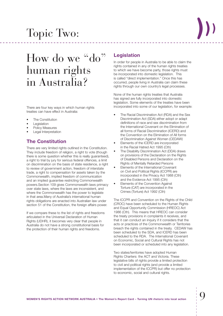## Topic Two:

### How do we "do" human rights in Australia?

There are four key ways in which human rights treaties can have effect in Australia:

- The Constitution
- Legislation
- Policy Measures
- Legal Interpretation

#### **The Constitution**

There are very limited rights outlined in the Constitution. They include freedom of religion, a right to vote (though there is some question whether this is really guaranteed), a right to trial by jury for serious federal offences, a limit on discrimination on the basis of state residence, a right to review of government action, freedom of interstate trade, a right to compensation for assets taken by the Commonwealth, implied freedom of communication and an implied guarantee restricting Commonwealth powers.Section 109 gives Commonwealth laws primacy over state laws, where the laws are inconsistent, and where the Commonwealth has the power to legislate in that area.Many of Australia's international human rights obligations are enacted into Australian law under section 51 of the Constitution, the foreign affairs power.

If we compare these to the list of rights and freedoms articulated in the Universal Declaration of Human Rights (UDHR), it becomes very clear that people in Australia do not have a strong constitutional basis for the protection of their human rights and freedoms.

#### **Legislation**

In order for people in Australia to be able to claim the rights contained in any of the human rights treaties to which we have become party, those rights must be incorporated into domestic legislation. This is called "direct implementation." Once this has occurred, people living in Australia can claim these rights through our own country's legal processes.

None of the human rights treaties that Australia has signed are fully incorporated into domestic legislation. Some elements of the treaties have been incorporated into some of our legislation, for example:

- The Racial Discrimination Act (RDA) and the Sex Discrimination Act (SDA) either adopt or adapt definitions of race and sex discrimination from the International Covenant on the Elimination of all forms of Racial Discrimination (ICERD) and the Convention on the Elimination of All forms of Discrimination Against Women (CEDAW)
- Elements of the ICERD are incorporated in the Racial Hatred Act 1995 (Cth)
- The Disability Discrimination Act (DDA) draws on provisions of the Declaration on the Rights of Disabled Persons and Declaration on the Rights of Mentally Retarded Persons
- Elements of the International Covenant on Civil and Political Rights (ICCPR) are incorporated in the Privacy Act 1988 (Cth) and the Evidence Act 1995 (Cth)
- Elements of the Convention Against Torture (CAT) are incorporated in the Crimes (Torture) Act 1992 (Cth)

The ICCPR and Convention on the Rights of the Child (CROC) have been scheduled to the Human Rights and Equal Opportunity Commission (HREOC) Act 1986 (Cth). This means that HREOC can consider the treaty provisions in complaints it receives, and that it can conduct an inquiry if it considers that the acts or practices of the Commonwealth or Territories breach the rights contained in the treaty. CEDAW has been scheduled to the SDA, and ICERD has been scheduled to the RDA. The International Covenant on Economic, Social and Cultural Rights has not been incorporated or scheduled into any legislation.

Two states/territories have adopted Human Rights Charters: the ACT and Victoria. These legislative bills of rights provide a limited protection to civil and political rights (and provide a limited implementation of the ICCPR) but offer no protection to economic, social and cultural rights.

 $\bf{Q}$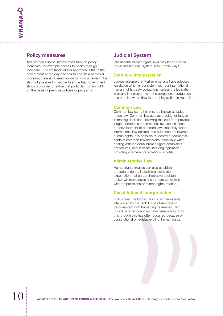#### **Policy measures**

Treaties can also be incorporated through policy measures, for example access to health through Medicare. The limitation of this approach is that if the government of the day decides to abolish a particular program, there is no mechanism for judicial review. It is also not possible for people to argue that government should continue to realise that particular human right on the basis of previous policies or programs.

#### **Judicial System**

International human rights laws may be applied in the Australian legal system in four main ways.

#### **Statutory Interpretation**

Judges assume that Parliamentarians have adopted legislation which is consistent with our international human rights treaty obligations, unless the legislation is clearly inconsistent with the obligations. Judges use this premise when they interpret legislation in Australia.

#### **Common Law**

Common law can other wise be known as judge made law. Common law acts as a guide for judges in making decisions, following the lead from previous judges' decisions. International law can influence the development of common law, especially where international law declares the existence of universal human rights. It is possible to identify fundamental rights in common law decisions, especially when dealing with individual human rights complaints procedures, and in cases involving legislation providing a remedy for violations of rights.

#### **Administrative Law**

Human rights treaties can also establish procedural rights, including a legitimate expectation that an administrative decision maker will make decisions that are consistent with the provisions of human rights treaties.

#### **Constitutional Interpretation**

Including a legitimate<br>an administrative decision<br>decisions that are consistent<br>is of human rights treaties.<br>**al Interpretation**<br>Donstitution is not necessarily<br>Phigh Court of Australia to<br>the human rights treaties. High<br>o In Australia, the Constitution is not necessarily interpreted by the High Court of Australia to be consistent with human rights treaties. High Courts in other countries have been willing to do this, though this has often occurred because of constitutional or legislative bill of human rights.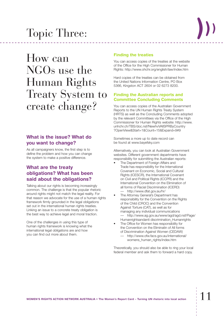# Topic Three:

How can NGOs use the Human Rights Treaty System to create change?

#### *What is the issue? What do* **YOU** want to change?

As all campaigners know, the first step is to define the problem and how you can change the system to make a positive difference.

#### *What are the treaty <u>Obligations?</u>* **What has been Said about the obligations?**

Talking about our rights is becoming increasingly common. The challenge is that the popular rhetoric around rights might not match the legal reality. For that reason we advocate for the use of a human rights framework firmly grounded in the legal obligations set out in the international human rights treaties. Linking an issue to a concrete treaty obligation is the best way to achieve legal and moral traction.

One of the challenges in using this type of human rights framework is knowing what the international legal obligations are and how you can find out more about them.

#### **Finding the treaties**

You can access copies of the treaties at the website of the Office for the High Commissioner for Human Rights: http://www.ohchr.org/english/law/index.htm

Hard copies of the treaties can be obtained from the United Nations Information Centre, PO Box 5366, Kingston ACT 2604 or 02 6273 8200.

#### **Einding the Australian reports and Committee Concluding Comments**

You can access copies of the Australian Government Reports to the UN Human Rights Treaty System (HRTS) as well as the Concluding Comments adopted by the relevant Committees via the Office of the High Commissioner for Human Rights website: http://www. unhchr.ch/TBS/doc.nsf/NewhvVAllSPRByCountry ?OpenView&Start=1&Count=15&Expand=9#9

Sometimes a more up to date record can be found at www.bayefsky.com

Alternatively, you can look at Australian Government websites. Different government departments have responsibility for submitting the Australian reports:

- The Department of Foreign Affairs and Trade has responsibility for the International Covenant on Economic, Social and Cultural Rights (ICESCR), the International Covenant on Civil and Political Rights (ICCPR) and the International Convention on the Elimination of all forms of Racial Discrimination (ICERD) — http://www.dfat.gov.au/hr/
- The Attorney General's Department has responsibility for the Convention on the Rights of the Child (CROC) and the Convention Against Torture (CAT), as well as for managing any individual communications — http://www.ag.gov.au/www/agd/agd.nsf/Page/ Humanrightsandanti discrimination\_Humanrights
- The Office for Women has responsibility for the Convention on the Eliminatin of All forms of Discrimination Against Women (CEDAW)
	- http://www.ofw.facs.gov.au/international/ womens\_human\_rights/index.htm

Theoretically, you should also be able to ring your local federal member and ask them to forward a hard copy.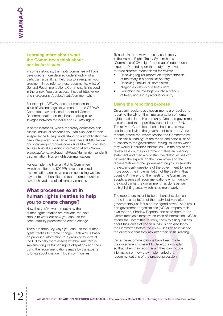#### **Learning more about what the Committees think about PARTICULAR ISSUES**

In some instances, the treaty committee will have developed a more detailed understanding of a particular issue. It can help you to strengthen your argument if you refer to these documents. A list of General Recommendations/Comments is included in the annex. You can access these at http://www. ohchr.org/english/bodies/treaty/comments.htm

For example, CEDAW does not mention the issue of violence against women, but the CEDAW Committee have released a detailed General Recommendation on this issue, making clear linkages between the issue and CEDAW rights.

In some instances, where the treaty committee can assess individual breaches you can also look at their jurisprudence to help understand how an obligation has been interpreted. You can access these at http://www. ohchr.org/english/bodies/complaints.htm You can also access Australia specific information at http://www. ag.gov.au/www/agd/agd.nsf/Page/Humanrightsandanti discrimination\_Humanrightscommunications

For example, the Human Rights Committee (which monitors the ICCPR) have considered discrimination against women in accessing welfare payments and benefits and found some countries have behaved in a discriminatory manner.

#### **What processes exist in human** rights treaties to help **You to create change?**

Now that you've worked out how the human rights treaties are relevant, the next step is to work out how you can use the accountability processes to create change.

There are three key ways you can use the human rights treaties to create change. Each way is based on providing information to a group of experts at the UN to help them assess whether Australia is implementing its human rights obligations and then using the recommendations made by the experts to bring about change in local communities.

To assist in the review process, each treaty in the Human Rights Treaty System has a "Committee of Oversight" made up of independent experts. Depending on the treaty they have up to three different mechanisms for review:

- Receiving regular reports on implementation of the treaty in a particular country
- Receiving "individual" complaints alleging a violation of a treaty right
- Launching an investigation into a breach of treaty rights in a particular country

#### **Using the reporting process**

On a semi regular basis governments are required to report to the UN on their implementation of human rights treaties in their community. Once the government has prepared the report they submit it to the UN. The relevant Committee then schedules a review session and invites the government to attend. A few months before the review session the Committee will do an "initial reading" of the report and send a list of questions to the government, raising issues on which they would like further information. On the day of the review session, the government makes an opening statement and then a "constructive dialogue" session between the experts on the Committee and the representatives of the government begins. Essentially, the experts ask questions of the government to learn more about the implementation of the treaty in that country. At the end of the meeting the Committee adopts a series of recommendations which identify the good things the government has done as well as highlighting areas which need more work.

riplementation of the treaty in that<br>id of the meeting the Committee<br>f recommendations which identify<br>he government has done as well<br>eas which need more work.<br>neant to be an honest evaluation<br>ation of the treaty, but very The reports are meant to be an honest evaluation of the implementation of the treaty, but very often governments just focus on the "good news". As a result, non government organisations (NGOs) prepare their own reports, Shadow Reports, and send them to the Committees as alternative sources of information. NGOs attend the Committee to lobby them to ask questions about their areas of concern. NGOs can also lobby the Committee before the review session to influence the questions that they ask after their "initial reading."

Once the recommendations have been made the government is meant to develop a workplan, so that when they report again they can include information on how they implemented the recommendations of the preceding session.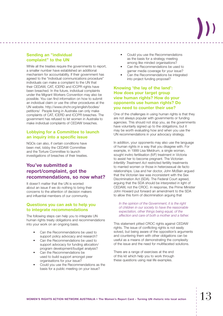#### **Sending an "individual COMPLAINT TO the UN**

While all the treaties require the governments to report, a smaller number have established an additional mechanism for accountability. If their government has agreed to the "individual communications procedure" individuals can make a complaint to the UN that their CEDAW, CAT, ICERD and ICCPR rights have been breached. In the future, individual complaints under the Migrant Workers Convention may also be possible. You can find information on how to submit an individual claim or use the other procedures at the UN website. http://www.ohchr.org/english/bodies/ petitions/ People living in Australia can only make complaints of CAT, ICERD and ICCPR breaches. The government has refused to let women in Australia to make individual complaints of CEDAW breaches.

#### **Lobbying for a Committee to launch AN INQUIRY INTO A SPECIlC ISSUE**

NGOs can also, if certain conditions have been met, lobby the CEDAW Committee and the Torture Committee to launch investigations of breaches of their treaties.

#### **You've submitted a** report/complaint, got the **recommendations, so now what?**

It doesn't matter that the UN is worried about an issue if we do nothing to bring their concerns to the attention of decision makers and influential members of our community.

#### **Questions you can ask to help you TO** integrate recommendations

The following steps can help you to integrate UN human rights treaty obligations and recommendations into your work on an ongoing basis.

- Can the Recommendations be used to support policy advocacy and research?
- Can the Recommendations be used to support advocacy for funding allocation/ program development/budget analysis?
- Can the Recommendations be used to build support amongst peer organisations for your issue?
- Could you use the Recommendations as the basis for a public meeting on your issue?
- Could you use the Recommendations as the basis for a strategy meeting among like minded organisations?
- Can the Recommendations be used to garner media coverage for your issue?
- Can the Recommendations be integrated into project funding proposal?

#### **Knowing 'the lay of the land': How does your target group View human rights? How do your OPPONENTS** use human rights? Do **You need to counter their use?**

One of the challenges in using human rights is that they are not always popular with governments or funding agencies. This should not stop you, as the governments have voluntarily signed up to the obligations, but it may be worth evaluating how and when you use the UN recommendations in your advocacy strategy.

In addition, your opponents may also use the language of human rights in a way that you disagree with. For example, in 1999 Lisa Meldrum, a single woman, sought invitro fertilisation (IVF) treatment in Victoria to assist her to become pregnant. The Victorian *Infertility Treatment Act* restricted fertility treatments to married women or those in heterosexual de facto relationships. Lisa and her doctor, John McBain argued that the Victorian law was inconsistent with the Sex Discrimination Act (SDA). The Federal Court agreed, arguing that the SDA should be interpreted in light of CEDAW, not the CROC. In response, the Prime Minister John Howard put forward an amendment to the SDA to allow this form of discrimination arguing that

*In the opinion of the Government, it is the right of children in our society to have the reasonable expectation, other things being equal, of the affection and care of both a mother and a father.*

This statement pitted CROC rights against CEDAW rights. The issue of conflicting rights is not easily solved, but being aware of the opposition's arguments and countering them with other obligations can be useful as a means of demonstrating the complexity of the issue and the need for multifaceted solutions.

There are a range of exercises at the end of this kit which help you to work through these questions using real life examples.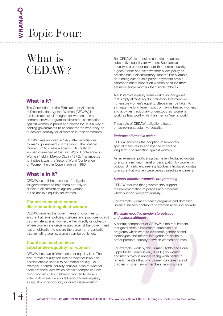# WRANA+O Topic Four:

## What is CEDAW?

#### **What** is it?

The Convention on the Elimination of All forms of Discrimination Against Women (CEDAW) is the international bill of rights for women. It is a comprehensive program to eliminate discrimination against women in public and private life. It is a way of holding governments to account for the work they do to achieve equality for all women in their community.

CEDAW was adopted in 1979 after negotiations by many governments of the world. The political momentum to create a specific UN treaty on women coalesced at the First World Conference on Women (held in Mexico City in 1975). The impetus to finalise it was the Second World Conference on Women (held in Copenhagen in 1980).

#### **What** is in it?

CEDAW establishes a series of obligations for governments to help them not only to eliminate discrimination against women but to achieve equality for women.

#### **Countries must eliminate DISCRIMINATION AGAINST WOMEN**

CEDAW requires the governments of countries to ensure that laws, policies, customs and practices do not discriminate against women, either directly or indirectly. Where women are discriminated against the government has an obligation to ensure the person or organisation discriminating against women can be punished.

#### **Countries must achieve Substantive equality for women**

CEDAW has two different ideas of equality in it. The first, formal equality, focuses on whether laws and policies enable people to be treated equally. For example, a formal equality analysis looks at whether there are there laws which prohibit companies from hiring women or from allowing women to drive or vote. In Australia we also talk about formal equality as equality of opportunity or direct discrimination.

But CEDAW also requires countries to achieve substantive equality for women. Substantive equality is a broader concept than formal equality. It goes further and asks whether a law, policy or practice has a discriminatory impact? For example, do funding cuts to sole parent payments have a disproportionate impact on women because there are more single mothers than single fathers?

A substantive equality framework also recognises that simply eliminating discriminatory treatment will not ensure women's equality. Steps must be taken to eliminate the long term impact of having treated women, and activities traditionally understood as 'women's work' as less worthwhile than men or 'men's work'.

Three sets of CEDAW obligations focus on achieving substantive equality.

#### *Embrace affirmative action*

CEDAW endorses the adoption of temporary special measures to address the impact of long term discrimination against women.

As an example, political parties have introduced quotas to ensure a minimum level of participation by women in politics. Similarly, engineering faculties introduced quotas to ensure that women were being trained as engineers.

#### *Support effective women's programming*

CEDAW requires that governments support the implementation of policies and programs which support women's equality.

For example, women's health programs and domestic violence shelters contribute to women achieving equality.

#### *Eliminate negative gender stereotypes and cultural attitudes*

**Example 12 and Security Configuration**<br> **Example 12 and programming**<br>
that governments support<br>
onn of policies and programs<br>
pmen's equality.<br>
men's health programs and domestic<br>
contribute to women achieving equality.<br> A central component of CEDAW is the requirement that governments implement education and programs which work to overcome gender based stereotypes and reformulate gender relations to better promote equality between women and men.

For example, work by the Human Rights and Equal Opportunity Commission (HREOC) on women and men's roles in unpaid caring work seeks to remedy the idea that only women can take care of children or other family members requiring care.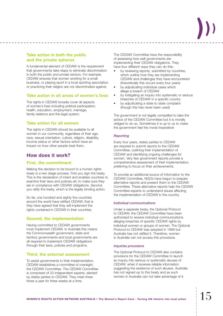#### **Take action in both the public And the private spheres**

A fundamental element of CEDAW is the requirement that governments take steps to eliminate discrimination in both the public and private sectors. For example, CEDAW ensures that women working for a small business, or playing sport in a local sporting association, or practicing their religion are not discriminated against.

#### **1AKE ACTION IN All** areas of women's lives

The rights in CEDAW broadly cover all aspects of women's lives including political participation, health, education, employment, marriage, family relations and the legal system.

#### **Take action for all women**

The rights in CEDAW should be available to all women in our community, regardless of their age, race, sexual orientation, culture, religion, disability, income status or other factors which have an impact on how other people treat them.

#### **(OW DOES IT WORK**

#### **First. the commitment**

Making the decision to be bound to a human rights treaty is a two stage process. First you sign the treaty. This is the declaration of intent and enables countries to examine their laws and policies etc to make sure they are in compliance with CEDAW obligations. Second, you ratify the treaty, which is the legally binding action.

So far, one hundred and eighty five countries around the world have ratified CEDAW, that is they have agreed that they will implement the rights contained in CEDAW in their countries.

#### **Second, the implementation**

Having committed to CEDAW governments must implement CEDAW. In Australia this means the Commonwealth government, state and territory governments and local governments are all required to implement CEDAW obligations through their laws, policies and programs.

#### **Third, the external assessment**

To assist governments in their implementation, CEDAW establishes a committee of oversight, the CEDAW Committee. The CEDAW Committee is comprised of 23 independent experts, elected by states parties to CEDAW. They meet three times a year for three weeks at a time.

The CEDAW Committee have the responsibility of assessing how well governments are implementing their CEDAW obligations. They have four different ways they can do this:

- by reviewing reports, submitted by countries, which outline how they are implementing CEDAW and challenges they have encountered (theoretically this occurs every four years)
- by adjudicating individual cases which allege a breach of CEDAW
- by instigating an inquiry into systematic or serious breaches of CEDAW in a specific country
- by adjudicating a state to state complaint (though this has never been used)

The government is not legally compelled to take the advice of the CEDAW Committee but it is morally obliged to do so. Sometimes it is up to us to make the government feel the moral imperative!

#### *Reporting*

Every four years, states parties to CEDAW are required to submit reports to the CEDAW Committee, outlining their implementation of CEDAW and identifying ongoing challenges for women. Very few government reports provide a comprehensive assessment of their implementation, preferring to focus on their achievements.

To provide an additional source of information to the CEDAW Committee, NGOs have begun to prepare alternative reports and present them to the CEDAW Committee. These alternative reports help the CEDAW Committee experts to understand issues affecting the implementation of CEDAW in the country.

#### *Individual communications*

Under a separate treaty, the Optional Protocol to CEDAW, the CEDAW Committee have been authorised to receive individual communications alleging breaches of specific CEDAW rights by individual women or groups of women. The Optional Protocol to CEDAW was adopted in 1999 but Australia has not ratified it. Therefore, women in Australia can not access this procedure.

#### *Inquiries procedure*

The Optional Protocol to CEDAW also contains provisions for the CEDAW Committee to launch an inquiry into serious or systematic abuses of CEDAW, when it receives reliable information suggesting the existence of such abuses. Australia *has not* signed up to this treaty and as such women in Australia can not take advantage of it.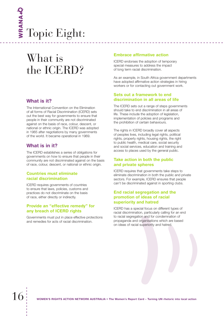# WRANA+O Topic Eight:

## What is the ICERD?

#### **What** is it?

The International Convention on the Elimination of all forms of Racial Discrimination (ICERD) sets out the best way for governments to ensure that people in their community are not discriminated against on the basis of race, colour, descent, or national or ethnic origin. The ICERD was adopted in 1965 after negotiations by many governments of the world. It became operational in 1969.

#### **What** is in it?

The ICERD establishes a series of obligations for governments on how to ensure that people in their community are not discriminated against on the basis of race, colour, descent, or national or ethnic origin.

#### **Countries must eliminate Racial discrimination**

ICERD requires governments of countries to ensure that laws, policies, customs and practices do not discriminate on the basis of race, either directly or indirectly.

#### **Provide an "effective remedy" for Any breach of ICERD rights**

Governments must put in place effective protections and remedies for acts of racial discrimination.

#### **Embrace affirmative action**

ICERD endorses the adoption of temporary special measures to address the impact of long term racial discrimination.

As an example, in South Africa government departments have adopted affirmative action strategies in hiring workers or for contacting out government work.

#### **Sets out a framework to end discrimination in all areas of life**

The ICERD sets out a range of steps governments should take to end discrimination in all areas of life. These include the adoption of legislation, implementation of policies and programs and the prohibition of certain behaviours.

The rights in ICERD broadly cover all aspects of peoples lives, including legal rights, political rights, property rights, housing rights, the right to public health, medical care, social security and social services, education and training and access to places used by the general public.

#### **Take action in both the public AND PRIVATE SPHERES**

ICERD requires that governments take steps to eliminate discrimination in both the public and private sectors. For example, ICERD ensures that people can't be discriminated against in sporting clubs.

#### **End racial segregation and the Promotion of ideas of racial Superiority and hatred**

rat governments take steps to<br>mation in both the public and private<br>apple, ICERD ensures that people<br>aated against in sporting clubs.<br>**Expregration and the fideas of racial**<br>**nd hatred**<br>cial focus on different types of<br>on, ICERD has a special focus on different types of racial discrimination, particularly calling for an end to racial segregation and for condemnation of propaganda and organisations which are based on ideas of racial superiority and hatred.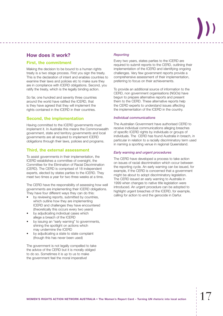#### **How does it work?**

#### **First. the commitment**

Making the decision to be bound to a human rights treaty is a two stage process. First you sign the treaty. This is the declaration of intent and enables countries to examine their laws and policies etc to make sure they are in compliance with ICERD obligations. Second, you ratify the treaty, which is the legally binding action.

So far, one hundred and seventy three countries around the world have ratified the ICERD, that is they have agreed that they will implement the rights contained in the ICERD in their countries.

#### **Second, the implementation**

Having committed to the ICERD governments must implement it. In Australia this means the Commonwealth government, state and territory governments and local governments are all required to implement ICERD obligations through their laws, policies and programs.

#### **Third, the external assessment**

To assist governments in their implementation, the ICERD establishes a committee of oversight, the Committee for the Elimination of Racial Discrimination (CERD). The CERD is comprised of 18 independent experts, elected by states parties to the ICERD. They meet two times a year for two three weeks at a time.

The CERD have the responsibility of assessing how well governments are implementing their ICERD obligations. They have four different ways they can do this:

- by reviewing reports, submitted by countries. which outline how they are implementing ICERD and challenges they have encountered (theoretically this occurs every two years)
- by adjudicating individual cases which allege a breach of the ICERD
- by issuing an "early warning" to governments, shining the spotlight on actions which may undermine the ICERD
- by adjudicating a state to state complaint (though this has never been used)

The government is not legally compelled to take the advice of the CERD but it is morally obliged to do so. Sometimes it is up to us to make the government feel the moral imperative!

#### *Reporting*

Every two years, states parties to the ICERD are required to submit reports to the CERD, outlining their implementation of the ICERD and identifying ongoing challenges. Very few government reports provide a comprehensive assessment of their implementation, preferring to focus on their achievements.

To provide an additional source of information to the CERD, non government organisations (NGOs) have begun to prepare alternative reports and present them to the CERD. These alternative reports help the CERD experts to understand issues affecting the implementation of the ICERD in the country.

#### *Individual communications*

The Australian Government have authorised CERD to receive individual communications alleging breaches of specific ICERD rights by individuals or groups of individuals. The CERD has found Australia in breach, in particular in relation to a racially discriminatory term used in naming a sporting venue in regional Queensland.

#### *Early warning and urgent procedures*

The CERD have developed a process to take action on issues of racial discrimination which occur between the reporting cycle. An early warning can be issued, for example, if the CERD is concerned that a government might be about to adopt discriminatory legislation. The CERD issued an early warning to Australia in 1999 when changes to native title legislation were introduced. An urgent procedure can be adopted to highlight urgent breaches of the ICERD, for example, calling for action to end the genocide in Darfur.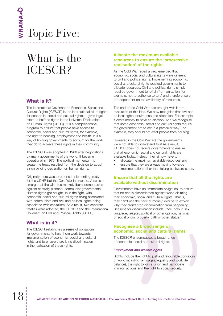# WRANA+O Topic Five:

## What is the ICESCR?

#### **What** is it?

The International Covenant on Economic, Social and Cultural Rights (ICESCR) is the international bill of rights for economic, social and cultural rights. It gives legal effect to half the rights in the Universal Declaration on Human Rights (UDHR). It is a comprehensive program to ensure that people have access to economic, social and cultural rights, for example, the right to housing, employment and health. It is a way of holding governments to account for the work they do to achieve these rights in their community.

The ICESCR was adopted in 1966 after negotiations by many governments of the world. It became operational in 1976. The political momentum to create the treaty resulted from the decision to adopt a non binding declaration on human rights.

Originally there was to be one implementing treaty for the UDHR but the Cold War intervened. A schism emerged at the UN: free market, liberal democracies against centrally planned, communist governments. Human rights got caught up in the fight, with economic, social and cultural rights being associated with communism and civil and political rights being associated with capitalism. As a result, two separate treaties were adopted, the ICESCR and the International Covenant on Civil and Political Rights (ICCPR).

#### **What** is in it?

The ICESCR establishes a series of obligations for governments to help them work towards implementation of economic, social and cultural rights and to ensure there is no discrimination in the realisation of those rights.

#### **Allocate the maximum available resources to ensure the 'progressive realisation**' of the rights

As the Cold War raged a view emerged that economic, social and cultural rights were different to civil and political rights. Implementing economic, social and cultural rights required governments to allocate resources. Civil and political rights simply required government to refrain from an action (for example, not to authorise torture) and therefore were not dependent on the availability of resources.

The end of the Cold War has brought with it a re evaluation of this idea. We now recognise that civil and political rights require resource allocation. For example, it costs money to have an election. And we recognise that some economic, social and cultural rights require the government not to act in a particular way. For example, they should not evict people from housing.

However, in the Cold War era the governments were not able to understand this! As a result, ICESCR does not require governments to ensure that all economic, social and cultural rights are available today. Instead, they simply have to

- allocate the maximum available resources and
- ensure that they are always moving towards implementation rather than taking backward steps.

#### **Ensure that all the rights are AVAILABLE WITHOUT DISCRIMINATION**

**all the rights are**<br> **contriguited the control discrimination**<br> *ve* an 'immediate obligation' to ensure<br>
coriminated against when claiming<br>
ocial and cultural rights. That is,<br>
a 'lack of money' excuse to explain<br>
top di Governments have an 'immediate obligation' to ensure that no one is discriminated against when claiming their economic, social and cultural rights. That is, they can't use the 'lack of money' excuse to explain why they didn't stop discrimination from happening. Reasons for discrimination include 'race, colour, sex, language, religion, political or other opinion, national or social origin, property, birth or other status.'

#### **Recognise a broad range of economic, social and cultural rights**

The ICESCR encompasses a broad range of economic, social and cultural rights.

#### *Employment and welfare rights*

Rights include the right to just and favourable conditions of work (including fair wages, equality and work life balance), the right to join a union and participate in union actions and the right to social security.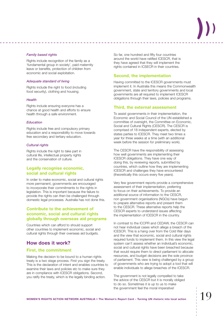#### *Family based rights*

Rights include recognition of the family as a 'fundamental group in society', paid maternity leave or benefits, protection of children from economic and social exploitation.

#### *Adequate standard of living*

Rights include the right to food (including food security), clothing and housing.

#### *Health*

Rights include ensuring everyone has a chance at good health and efforts to ensure health through a safe environment.

#### *Education*

Rights include free and compulsory primary education and a responsibility to move towards free secondary and tertiary education.

#### *Cultural rights*

Rights include the right to take part in cultural life, intellectual property rights and the conservation of culture.

#### **Legally recognise economic, social and cultural rights**

In order to make economic, social and cultural rights more permanent, governments are encouraged to incorporate their commitments to the rights in legislation. This is important because the failure to provide the rights can then be challenged through domestic legal processes. Australia has not done this.

#### **Contribute to the achievement of ECONOMIC SOCIAL AND CULTURAL RIGHTS globally through overseas aid programs**

Countries which can afford to should support other countries to implement economic, social and cultural rights through their overseas aid budgets.

#### **How does it work?**

#### **First, the commitment**

Making the decision to be bound to a human rights treaty is a two stage process. First you sign the treaty. This is the declaration of intent and enables countries to examine their laws and policies etc to make sure they are in compliance with ICESCR obligations. Second, you ratify the treaty, which is the legally binding action.

So far, one hundred and fifty four countries around the world have ratified ICESCR, that is they have agreed that they will implement the rights contained in ICSECR in their countries.

#### **Second. the implementation**

Having committed to the ICESCR governments must implement it. In Australia this means the Commonwealth government, state and territory governments and local governments are all required to implement ICESCR obligations through their laws, policies and programs.

#### **Third, the external assessment**

To assist governments in their implementation, the Economic and Social Council of the UN established a committee of oversight, the Committee on Economic, Social and Cultural Rights (CESCR). The CESCR is comprised of 18 independent experts, elected by states parties to ICESCR. They meet two times a year for three weeks at a time (with an additional week before the session for preliminary work).

The CESCR have the responsibility of assessing how well governments are implementing their ICESCR obligations. They have one way of doing this, by reviewing reports, submitted by countries, which outline how they are implementing ICESCR and challenges they have encountered (theoretically this occurs every five years).

Very few government reports provide a comprehensive assessment of their implementation, preferring to focus on their achievements. To provide an additional source of information to the CESCR, non government organisations (NGOs) have begun to prepare alternative reports and present them to the CESCR. These alternative reports help the CESCR experts to understand issues affecting the implementation of ICESCR in the country.

In contrast to the ICCPR and CEDAW, the CESCR can not hear individual cases which allege a breach of the ICESCR. This is a hang over from the Cold War days and the view that economic, social and cultural rights required funds to implement them. In this view the legal system can't assess whether an individual's economic, social and cultural rights have been breached because that would require them to direct parliament to allocate resources, and budget decisions are the sole province of parliament. This view is being challenged by a group of governments who are trying to adopt a tool that will enable individuals to allege breaches of the ICESCR.

The government is not legally compelled to take the advice of the CESCR but it is morally obliged to do so. Sometimes it is up to us to make the government feel the moral imperative!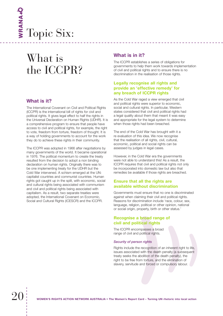# WRANA+O Topic Six:

## What is the ICCPR?

#### **What** is it?

The International Covenant on Civil and Political Rights (ICCPR) is the international bill of rights for civil and political rights. It gives legal effect to half the rights in the Universal Declaration on Human Rights (UDHR). It is a comprehensive program to ensure that people have access to civil and political rights, for example, the right to vote, freedom from torture, freedom of thought. It is a way of holding governments to account for the work they do to achieve these rights in their community.

The ICCPR was adopted in 1966 after negotiations by many governments of the world. It became operational in 1976. The political momentum to create the treaty resulted from the decision to adopt a non binding declaration on human rights. Originally there was to be one implementing treaty for the UDHR but the Cold War intervened. A schism emerged at the UN: capitalist countries and communist countries. Human rights got caught up in the split, with economic, social and cultural rights being associated with communism and civil and political rights being associated with capitalism. As a result, two separate treaties were adopted, the International Covenant on Economic, Social and Cultural Rights (ICESCR) and the ICCPR.

#### **What** is in it?

The ICCPR establishes a series of obligations for governments to help them work towards implementation of civil and political rights and to ensure there is no discrimination in the realisation of those rights.

#### **Legally recognise all rights and Provide an 'effective remedy' for Any breach of ICCPR rights**

As the Cold War raged a view emerged that civil and political rights were superior to economic, social and cultural rights. In particular, Western states considered that civil and political rights had a legal quality about them that meant it was easy and appropriate for the legal system to determine when those rights had been breached.

The end of the Cold War has brought with it a re evaluation of this idea. We now recognise that the realisation of all rights, civil, cultural, economic, political and social rights can be assessed by judges in legal cases.

However, in the Cold War era the governments were not able to understand this! As a result, the ICCPR requires that civil and political rights not only be incorporated into domestic law but also that remedies be available if those rights are breached.

#### **Ensure that all the rights are AVAILABLE WITHOUT DISCRIMINATION**

able if those rights are breached.<br> **all the rights are**<br> **hout discrimination**<br>
ast ensure that no one is discriminated<br>
iming their civil and political rights.<br>
rimination include 'race, colour, sex,<br>
i, political or oth Governments must ensure that no one is discriminated against when claiming their civil and political rights. Reasons for discrimination include 'race, colour, sex, language, religion, political or other opinion, national or social origin, property, birth or other status.'

#### **Recognise a broad range of Civil** and **political rights**

The ICCPR encompasses a broad range of civil and political rights.

#### *Security of person rights*

Rights include the recognition of an inherent right to life, issues associated with the death penalty (a subsequent treaty seeks the abolition of the death penalty), the right to be free from torture, and the elimination of slavery, servitude and forced or compulsory labour.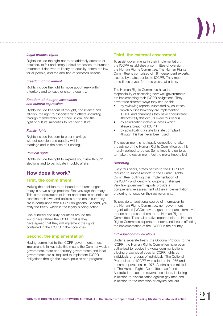#### *Legal process rights*

Rights include the right not to be arbitrarily arrested or detained, to fair and timely judicial processes, to humane treatment if deprived of liberty, to equality before the law for all people, and the abolition of 'debtor's prisons'.

#### *Freedom of movement*

Rights include the right to move about freely within a territory and to leave or enter a country.

#### *Freedom of thought, association and cultural expression*

Rights include freedom of thought, conscience and religion, the right to associate with others (including through membership of a trade union), and the right of cultural minorities to live their culture.

#### *Family rights*

Rights include freedom to enter marriage without coercion and equality within marriage and in the case of it ending.

#### *Political rights*

Rights include the right to express your view through elections and to participate in public affairs

#### **How does it work?**

#### **First. the commitment**

Making the decision to be bound to a human rights treaty is a two stage process. First you sign the treaty. This is the declaration of intent and enables countries to examine their laws and policies etc to make sure they are in compliance with ICCPR obligations. Second, you ratify the treaty, which is the legally binding action.

One hundred and sixty countries around the world have ratified the ICCPR, that is they have agreed that they will implement the rights contained in the ICCPR in their countries.

#### **Second, the implementation**

Having committed to the ICCPR governments must implement it. In Australia this means the Commonwealth government, state and territory governments and local governments are all required to implement ICCPR obligations through their laws, policies and programs.

#### **Third, the external assessment**

To assist governments in their implementation, the ICCPR establishes a committee of oversight, the Human Rights Committee. The Human Rights Committee is comprised of 18 independent experts, elected by states parties to ICCPR. They meet three times a year for three weeks at a time.

The Human Rights Committee have the responsibility of assessing how well governments are implementing their ICCPR obligations. They have three different ways they can do this:

- by reviewing reports, submitted by countries, which outline how they are implementing ICCPR and challenges they have encountered (theoretically this occurs every four years)
- by adjudicating individual cases which allege a breach of ICCPR
- by adjudicating a state to state complaint (though this has never been used)

The government is not legally compelled to take the advice of the Human Rights Committee but it is morally obliged to do so. Sometimes it is up to us to make the government feel the moral imperative!

#### *Reporting*

Every four years, states parties to the ICCPR are required to submit reports to the Human Rights Committee, outlining their implementation of the ICCPR and identifying ongoing challenges. Very few government reports provide a comprehensive assessment of their implementation, preferring to focus on their achievements.

To provide an additional source of information to the Human Rights Committee, non government organisations (NGOs) have begun to prepare alternative reports and present them to the Human Rights Committee. These alternative reports help the Human Rights Committee experts to understand issues affecting the implementation of the ICCPR in the country.

#### *Individual communications*

Under a separate treaty, the Optional Protocol to the ICCPR, the Human Rights Committee have been authorised to receive individual communications alleging breaches of specific ICCPR rights by individuals or groups of individuals. The Optional Protocol to the ICCPR was adopted in 1966 and became operational in 1976. Australia has ratified it. The Human Rights Committee has found Australia in breach on several occasions, including in relation to discrimination against gay men and in relation to the detention of asylum seekers.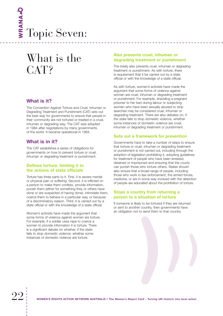# WRANA+O Topic Seven:

## What is the CAT?

#### **What** is it?

The Convention Against Torture and Cruel, Inhuman or Degrading Treatment and Punishment (CAT) sets out the best way for governments to ensure that people in their community are not tortured or treated in a cruel, inhuman or degrading way. The CAT was adopted in 1984 after negotiations by many governments of the world. It became operational in 1984.

#### **What** is in it?

The CAT establishes a series of obligations for governments on how to prevent torture or cruel, inhuman or degrading treatment or punishment.

#### **Defines torture, limiting it to the actions of state officials**

Torture has three parts to it. First, it is severe mental or physical pain or suffering. Second, it is inflicted on a person to make them confess, provide information, punish them (either for something they or others have done or are suspected of having done), intimidate them, coerce them to behave in a particular way, or because of a discriminatory reason. Third, it is carried out by a state official or with the knowledge of a state official.

Women's activists have made the argument that some forms of violence against women are torture. For example, if a soldier uses rape to coerce a woman to provide information it is torture. There is a significant debate on whether, if the state fails to stop domestic violence, whether some instances of domestic violence are torture.

#### **Also prevents cruel, inhuman or degrading treatment or punishment**

The treaty also prevents cruel, inhuman or degrading treatment or punishment. As with torture, there is requirement that it be carried out by a state official or with the knowledge of a state official.

As with torture, women's activists have made the argument that some forms of violence against women are cruel, inhuman or degrading treatment or punishment. For example, shackling a pregnant prisoner to her bed during labour or subjecting women who have been sexually abused to strip searches may be considered cruel, inhuman or degrading treatment. There are also debates on, if the state fails to stop domestic violence, whether some instances of domestic violence are cruel, inhuman or degrading treatment or punishment.

#### **Sets out a framework for prevention**

In law enforcement, the armed forces, in some way involved with the detention cated about the prohibition of torture.<br> **Containery from returning a**<br> **situation of torture**<br> **ly to be tortured if they are returned r countr** Governments have to take a number of steps to ensure that torture or cruel, inhuman or degrading treatment or punishment is not carried out, including through the adoption of legislation prohibiting it, adopting guidelines for treatment of people who have been arrested, detained or imprisoned and ensuring that the courts can punish those who torture others. States should also ensure that a broad range of people, including those who work in law enforcement, the armed forces, medicine, or are in some way involved with the detention of people are educated about the prohibition of torture.

#### **Stops a country from returning a PERSON to a situation of torture**

If someone is likely to be tortured if they are returned or sent to another country, then governments have an obligation not to send them to that country.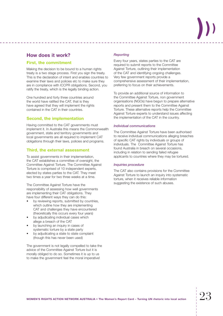#### **How does it work?**

#### **First. the commitment**

Making the decision to be bound to a human rights treaty is a two stage process. First you sign the treaty. This is the declaration of intent and enables countries to examine their laws and policies etc to make sure they are in compliance with ICCPR obligations. Second, you ratify the treaty, which is the legally binding action.

One hundred and forty three countries around the world have ratified the CAT, that is they have agreed that they will implement the rights contained in the CAT in their countries.

#### **Second, the implementation**

Having committed to the CAT governments must implement it. In Australia this means the Commonwealth government, state and territory governments and local governments are all required to implement CAT obligations through their laws, policies and programs.

#### **Third, the external assessment**

To assist governments in their implementation, the CAT establishes a committee of oversight, the Committee Against Torture. The Committee Against Torture is comprised of 10 independent experts, elected by states parties to the CAT. They meet two times a year for two three weeks at a time.

The Committee Against Torture have the responsibility of assessing how well governments are implementing their CAT obligations. They have four different ways they can do this:

- by reviewing reports, submitted by countries. which outline how they are implementing CAT and challenges they have encountered (theoretically this occurs every four years)
- by adjudicating individual cases which allege a breach of the CAT
- by launching an inquiry in cases of systematic torture by a state party
- by adjudicating a state to state complaint (though this has never been used)

The government is not legally compelled to take the advice of the Committee Against Torture but it is morally obliged to do so. Sometimes it is up to us to make the government feel the moral imperative!

#### *Reporting*

Every four years, states parties to the CAT are required to submit reports to the Committee Against Torture, outlining their implementation of the CAT and identifying ongoing challenges. Very few government reports provide a comprehensive assessment of their implementation, preferring to focus on their achievements.

To provide an additional source of information to the Committee Against Torture, non government organisations (NGOs) have begun to prepare alternative reports and present them to the Committee Against Torture. These alternative reports help the Committee Against Torture experts to understand issues affecting the implementation of the CAT in the country.

#### *Individual communications*

The Committee Against Torture have been authorised to receive individual communications alleging breaches of specific CAT rights by individuals or groups of individuals. The Committee Against Torture has found Australia in breach on several occasions, including in relation to sending failed refugee applicants to countries where they may be tortured.

#### *Inquiries procedure*

The CAT also contains provisions for the Committee Against Torture to launch an inquiry into systematic torture, when it receives reliable information suggesting the existence of such abuses.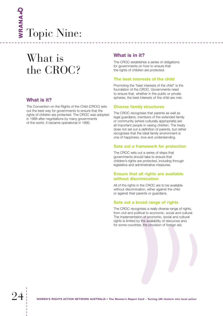# WRANA+O Topic Nine:

## What is the CROC?

#### **What** is it?

The Convention on the Rights of the Child (CROC) sets out the best way for governments to ensure that the rights of children are protected. The CROC was adopted in 1989 after negotiations by many governments of the world. It became operational in 1990.

#### **What** is in it?

The CROC establishes a series of obligations for governments on how to ensure that the rights of children are protected.

#### **1HE BEST Interests** of the child

Promoting the "best interests of the child" is the foundation of the CROC. Governments need to ensure that, whether in the public or private spheres, the best interests of the child are met.

#### **Diverse family structures**

The CROC recognises that parents as well as legal guardians, members of the extended family or community (where culturally appropriate) are all important people in raising children. The treaty does not set out a definition of parents, but rather recognises that the ideal family environment is one of happiness, love and understanding.

#### **Sets out a framework for protection**

The CROC sets out a series of steps that governments should take to ensure that children's rights are protected, including through legislative and administrative measures.

#### **Ensure that all rights are available Without discrimination**

All of the rights in the CROC are to be available without discrimination, either against the child or against their parents or guardians.

#### **Sets out a broad range of rights**

**all rights are available<br>
rimination**<br>
the CROC are to be available<br>
ation, either against the child<br>
arents or guardians.<br> **road range of rights**<br>
mises a really diverse range of rights,<br>
mises a really diverse range of The CROC recognises a really diverse range of rights, from civil and political to economic, social and cultural. The implementation of economic, social and cultural rights is limited by the availability of resources and, for some countries, the provision of foreign aid.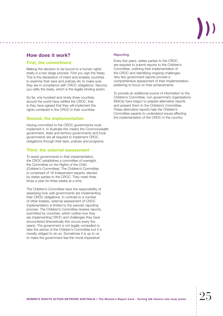#### **How does it work?**

#### **First. the commitment**

Making the decision to be bound to a human rights treaty is a two stage process. First you sign the treaty. This is the declaration of intent and enables countries to examine their laws and policies etc to make sure they are in compliance with CROC obligations. Second, you ratify the treaty, which is the legally binding action.

So far, one hundred and ninety three countries around the world have ratified the CROC, that is they have agreed that they will implement the rights contained in the CROC in their countries.

#### **Second, the implementation**

Having committed to the CROC governments must implement it. In Australia this means the Commonwealth government, state and territory governments and local governments are all required to implement CROC obligations through their laws, policies and programs.

#### **Third, the external assessment**

To assist governments in their implementation, the CROC establishes a committee of oversight, the Committee on the Rights of the Child (Children's Committee). The Children's Committee is comprised of 18 independent experts, elected by states parties to the CROC. They meet three times a year for three weeks at a time.

The Children's Committee have the responsibility of assessing how well governments are implementing their CROC obligations. In contrast to a number of other treaties, external assessment of CROC implementation is limited to the periodic reporting process. The Children's Committee reviews reports, submitted by countries, which outline how they are implementing CROC and challenges they have encountered (theoretically this occurs every five years). The government is not legally compelled to take the advice of the Children's Committee but it is morally obliged to do so. Sometimes it is up to us to make the government feel the moral imperative!

#### *Reporting*

Every five years, states parties to the CROC are required to submit reports to the Children's Committee, outlining their implementation of the CROC and identifying ongoing challenges. Very few government reports provide a comprehensive assessment of their implementation, preferring to focus on their achievements.

To provide an additional source of information to the Children's Committee, non government organisations (NGOs) have begun to prepare alternative reports and present them to the Children's Committee. These alternative reports help the Children's Committee experts to understand issues affecting the implementation of the CROC in the country.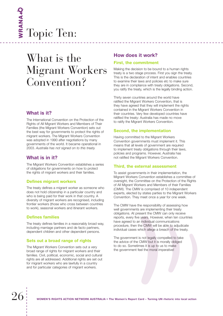# Topic Ten:

### What is the Migrant Workers Convention?

#### **What** is it?

The International Convention on the Protection of the Rights of All Migrant Workers and Members of Their Families (the Migrant Workers Convention) sets out the best way for governments to protect the rights of migrant workers. The Migrant Workers Convention was adopted in 1990 after negotiations by many governments of the world. It became operational in 2003. *Australia has not signed on to this treaty.*

#### **What is in it?**

The Migrant Workers Convention establishes a series of obligations for governments on how to protect the rights of migrant workers and their families.

#### **Defines migrant workers**

The treaty defines a migrant worker as someone who does not hold citizenship in a particular country and who is being paid for their work in that country. A diversity of migrant workers are recognised, including frontier workers (those who cross between countries to work), seasonal workers and itinerant workers.

#### **Defines families**

The treaty defines families in a reasonably broad way, including marriage partners and de facto partners, dependent children and other dependent persons.

#### **Sets out a broad range of rights**

The Migrant Workers Convention sets out a very broad range of rights for migrant workers and their families. Civil, political, economic, social and cultural rights are all addressed. Additional rights are set out for migrant workers who are lawfully in a country and for particular categories of migrant workers.

#### **How does it work?**

#### **First, the commitment**

Making the decision to be bound to a human rights treaty is a two stage process. First you sign the treaty. This is the declaration of intent and enables countries to examine their laws and policies etc to make sure they are in compliance with treaty obligations. Second, you ratify the treaty, which is the legally binding action.

Thirty seven countries around the world have ratified the Migrant Workers Convention, that is they have agreed that they will implement the rights contained in the Migrant Workers Convention in their countries. Very few developed countries have ratified the treaty: Australia has made no move to ratify the Migrant Workers Convention.

#### **Second, the implementation**

Having committed to the Migrant Workers Convention governments must implement it. This means that all levels of government are required to implement treaty obligations through their laws, policies and programs. However, Australia has not ratified the Migrant Workers Convention.

#### **Third, the external assessment**

ments in their implementation, the<br>Convention establishes a committee of<br>mmittee on the Protection of the Rights<br>rkers and Members of their Families<br>V is comprised of 10 independent<br>by states parties to the Migrant Workers To assist governments in their implementation, the Migrant Workers Convention establishes a committee of oversight, the Committee on the Protection of the Rights of All Migrant Workers and Members of their Families (CMW). The CMW is comprised of 10 independent experts, elected by states parties to the Migrant Workers Convention. They meet once a year for one week.

The CMW have the responsibility of assessing how well governments are implementing their treaty obligations. At present the CMW can only receive reports, every five years. However, when ten countries have agreed to an individual communications procedure, then the CMW will be able to adjudicate individual cases which allege a breach of the treaty.

The government is not legally compelled to take the advice of the CMW but it is morally obliged to do so. Sometimes it is up to us to make the government feel the moral imperative!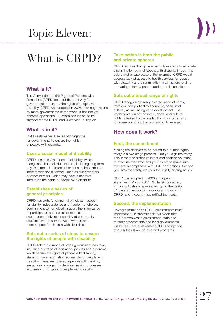## Topic Eleven:

## What is CRPD?

#### **What** is it?

The Convention on the Rights of Persons with Disabilities (CRPD) sets out the best way for governments to ensure the rights of people with disability. CRPD was adopted in 2006 after negotiations by many governments of the world. It has not yet become operational. Australia has indicated its support for the CRPD and is working to sign on.

#### **What** is in it?

CRPD establishes a series of obligations for governments to ensure the rights of people with disability.

#### **5SES A SOCIAL MODEL OF DISABILITY**

CRPD uses a social model of disability, which recognises that individual factors, including long term physical, mental, intellectual or sensory impairments interact with social factors, such as discrimination or other barriers, which may have a negative impact on the rights of people with disability.

#### **Establishes a series of general principles**

CRPD has eight fundamental principles: respect for dignity, independence and freedom of choice; commitment to non discrimination; the importance of participation and inclusion; respect and acceptance of diversity; equality of opportunity; accessibility; equality between women and men; respect for children with disabilities.

#### **Sets out a series of steps to ensure THE RIGHTS OF PEOPLE WITH DISABILITY**

CRPD sets out a range of steps government can take, including adoption of legislation, policies and programs which secure the rights of people with disability, steps to make information accessible for people with disability, measures to ensure people with disability are actively engaged by decision making processes and research to support people with disability.

#### **Take action in both the public AND PRIVATE SPHERES**

CRPD requires that governments take steps to eliminate discrimination against people with disability in both the public and private sectors. For example, CRPD would address lack of access to health services for people with disability and discrimination in all matters relating to marriage, family, parenthood and relationships.

#### **Sets out a broad range of rights**

CRPD recognises a really diverse range of rights, from civil and political to economic, social and cultural, as well as rights to development. The implementation of economic, social and cultural rights is limited by the availability of resources and, for some countries, the provision of foreign aid.

#### **How does it work?**

#### **First, the commitment**

Making the decision to be bound to a human rights treaty is a two stage process. First you sign the treaty. This is the declaration of intent and enables countries to examine their laws and policies etc to make sure they are in compliance with CRDP obligations. Second, you ratify the treaty, which is the legally binding action.

CRDP was adopted in 2006 and open for signature in March 2007. So far 98 countries, including Australia have signed up to the treaty, 54 have signed up to the Optional Protocol to CRPD, and 1 country has ratified the treaty.

#### **Second. the implementation**

Having committed to CRPD governments must implement it. In Australia this will mean that the Commonwealth government, state and territory governments and local governments will be required to implement CRPD obligations through their laws, policies and programs.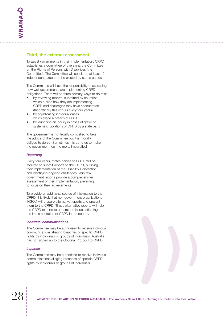#### **Third, the external assessment**

To assist governments in their implementation, CRPD establishes a committee of oversight, the Committee on the Rights of Persons with Disabilities (the Committee). The Committee will consist of at least 12 independent experts to be elected by states parties.

The Committee will have the responsibility of assessing how well governments are implementing CRPD obligations. There will be three primary ways to do this:

- by reviewing reports, submitted by countries, which outline how they are implementing CRPD and challenges they have encountered (theoretically this occurs every four years)
- by adjudicating individual cases which allege a breach of CRPD
- by launching an inquiry in cases of grave or systematic violations of CRPD by a state party

The government is not legally compelled to take the advice of the Committee but it is morally obliged to do so. Sometimes it is up to us to make the government feel the moral imperative!

#### *Reporting*

Every four years, states parties to CRPD will be required to submit reports to the CRPD, outlining their implementation of the Disability Convention and identifying ongoing challenges. Very few government reports provide a comprehensive assessment of their implementation, preferring to focus on their achievements.

To provide an additional source of information to the CRPD, it is likely that non government organisations (NGOs) will prepare alternative reports and present them to the CRPD. These alternative reports will help the CRPD experts to understand issues affecting the implementation of CRPD in the country.

#### *Individual communications*

The Committee may be authorised to receive individual communications alleging breaches of specific CRPD rights by individuals or groups of individuals. Australia has not signed up to the Optional Protocol to CRPD.

#### *Inquiries*

The Committee may be authorised to receive individual communications alleging breaches of specific CRPD rights by individuals or groups of individuals.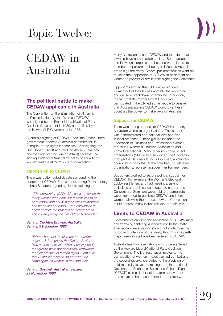## Topic Twelve:

## CEDAW in Australia

#### **1HE Political battle to make EDAW** applicable in Australia

The Convention on the Elimination of All forms of Discrimination Against Women (CEDAW) was signed by the Fraser Liberal/National Party Coalition Government in 1980, and ratified by the Hawke ALP Government in 1983.

Australia's signing of CEDAW, under the Fraser Liberal government, showed Australia's commitment, in principle, to the rights it enshrines. After signing, the Hon Robert Ellicott and the Hon Andrew Peacock (the then Minister for Foreign Affairs) said that the signing evidenced "Australia's policy of equality for women and the elimination of discrimination."

#### **Opposition to CEDAW**

There was quite heated debate surrounding the adoption of CEDAW. For example, during Parliamentary debate Senators argued against it, claiming that:

 *"The convention [CEDAW]... seeks to assert that many women who consider themselves to be both happy and equal in their roles as mothers and wives are not happy... the convention in effect belittles the vital role of these women and consequently the role of their husbands".*

#### *Senator Crichton Browne, Australian Senate, 9 December 1983.*

*"From where did the clamour for equality originate? It began in the Eastern Soviet bloc countries, which, while speaking loudly for equality, were not particularly renowned for their practice of human rights. I am sure that Australian women do not want the same rights as women in Iran and India."*

*Senator Boswell, Australian Senate, 29 November 1983.*

Many Australians feared CEDAW and the effect that it would have on Australian society. Some groups and individuals organised rallies and wrote letters to members of parliament, hoping to influence Australia not to sign the treaty. Several parliamentarians went on to voice their opposition to CEDAW in parliament and worked to prevent Australia from signing the Convention.

Opponents argued that CEDAW would force women out of their homes and into the workforce and cause a breakdown of family life. In addition, the fact that the former Soviet Union bloc participated in the UN led some people to believe that Australia signing CEDAW would give these countries the power to make laws for Australia.

#### **Support for CEDAW**

There was strong support for CEDAW from many Australian women's organisations. This support was demonstrated at a national level and also in local branches. These groups included the Federation of Business and Professional Women, the Young Women's Christian Association and Zonta International. Many other non government organisations (NGOs) also supported the Convention through the National Council of Women, a voluntary coordinating body that at the time had 583 affiliated organisations, representing over 1 million members.

Supporters worked to secure political support for CEDAW. For example, the Women's Electoral Lobby sent letters and had meetings, asking politicians and political candidates to support the Convention. Seminars were held and pamphlets were distributed to publicise CEDAW and inform women, allowing them to see how the Convention could address many issues relevant to their lives.

#### **Limits to CEDAW in Australia**

Governments can limit the application of CEDAW (and any treaty) by "entering a reservation" to the treaty. Theoretically, reservations should not undermine the purpose or intention of the treaty, though some pretty major reservations have been entered to CEDAW.

Australia has two reservations which were entered by the Howard Liberal/National Party Coalition Government. The first reservation relates to the participation of women in direct armed combat and the second reservation relates to the provision of paid maternity leave. Interestingly, the International Covenant on Economic, Social and Cultural Rights (ICESCR) also calls for paid maternity leave, but no reservation has been entered to that treaty.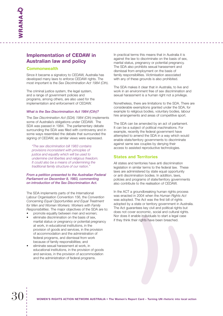#### **lmplementation of CEDAW in Australian law and policy**

#### **Commonwealth**

Since it became a signatory to CEDAW, Australia has developed many laws to enforce CEDAW rights. The most important is the *Sex Discrimination Act 1984* (Cth).

The criminal justice system, the legal system, and a range of government policies and programs, among others, are also used for the implementation and enforcement of CEDAW.

#### *What is the Sex Discrimination Act 1984 (Cth)?*

The *Sex Discrimination Act (SDA) 1984* (Cth) implements some of Australia's obligations under CEDAW. The SDA was passed in 1984. The parliamentary debate surrounding the SDA was filled with controversy and in some ways resembled the debate that surrounded the signing of CEDAW, as similar views were expressed.

*"The sex discrimination bill 1983 contains provisions inconsistent with principles of justice and equality which will be used to undermine civil liberties and religious freedom. It could also be a means of undermining the traditional family structure of our nation."* 

#### *From a petition presented to the Australian Federal Parliament on December 8, 1983, commenting on introduction of the Sex Discrimination Act.*

The SDA implements parts of the International Labour Organisation Convention 156, the *Convention Concerning Equal Opportunities and Equal Treatment for Men and Women Workers: Workers with Family Responsibilities*. The major objectives of the SDA are to:

- promote equality between men and women;
- eliminate discrimination on the basis of sex, marital status or pregnancy or potential pregnancy at work, in educational institutions, in the provision of goods and services, in the provision of accommodation and the administration of federal programs, and dismissal from work because of family responsibilities; and
- eliminate sexual harassment at work, in educational institutions, in the provision of goods and services, in the provision of accommodation and the administration of federal programs.

In practical terms this means that in Australia it is against the law to discriminate on the basis of sex, marital status, pregnancy or potential pregnancy. The SDA also prohibits sexual harassment and dismissal from employment on the basis of family responsibilities. Victimisation associated with any of these grounds is also prohibited.

The SDA makes it clear that in Australia, to live and work in an environment free of sex discrimination and sexual harassment is a human right not a privilege.

Nonetheless, there are limitations to the SDA. There are considerable exemptions granted under the SDA, for example to religious bodies, voluntary bodies, labour hire arrangements and areas of competitive sport.

The SDA can be amended by an act of parliament. It can be a subject of political machinations. For example, recently the federal government have attempted to amend the SDA in a way which would enable state/territory governments to discriminate against same sex couples by denying their access to assisted reproductive technologies.

#### **States and Territories**

All states and territories have anti discrimination legislation in similar terms to the federal law. These laws are administered by state equal opportunity or anti discrimination bodies. In addition, laws, policies and programs of state/territory governments also contribute to the realisation of CEDAW.

eled by state equal opportunity<br>tion bodies. In addition, laws,<br>rams of state/territory governments<br>the realisation of CEDAW.<br>undbreaking human rights process<br>004 when the *Human Rights Act*<br>e Act was the first bill of rig In the ACT a groundbreaking human rights process was enacted in 2004 when the *Human Rights Act* was adopted. The Act was the first bill of rights adopted by a state or territory government in Australia. The Act guarantees key civil and political rights but does not cover economic, social and cultural rights. Nor does it enable individuals to start a legal case if they think their rights have been breached.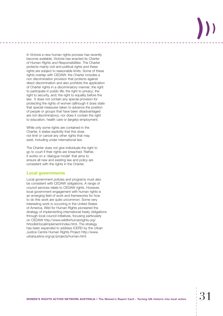In Victoria a new human rights process has recently become available. Victoria has enacted its *Charter of Human Rights and Responsibilities*. The Charter protects mainly civil and political rights and these rights are subject to reasonable limits. Some of these rights overlap with CEDAW: the Charter includes a non discrimination provision that protects against direct discrimination and also prohibits the application of Charter rights in a discriminatory manner; the right to participate in public life; the right to privacy; the right to security, and; the right to equality before the law. It does not contain any special provision for protecting the rights of women (although it does state that special measures taken to advance the position of people or groups that have been disadvantaged are not discriminatory), nor does it contain the right to education, health care or (largely) employment.

While only some rights are contained in the Charter, it states explicitly that this does not limit or cancel any other rights that may exist, including under international law.

The Charter does not give individuals the right to go to court if their rights are breached. Rather, it works on a 'dialogue model' that aims to ensure all new and existing law and policy are consistent with the rights in the Charter.

#### **Local governments**

Local government policies and programs must also be consistent with CEDAW obligations. A range of council services relate to CEDAW rights. However, local government engagement with human rights is an emerging field of work and frameworks for how to do this work are quite uncommon. Some very interesting work is occurring in the United States of America. Wild for Human Rights pioneered the strategy of implementing international treaty obligations through local council initiatives, focusing particularly on CEDAW http://www.wildforhumanrights.org/ hrtoolkit/localimplement/index.html. The strategy has been expanded to address ICERD by the Urban Justice Centre Human Rights Project http://www. urbanjustice.org/ujc/projects/human.html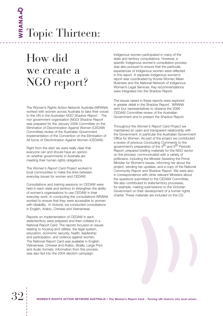### How did we create a NGO report?

The Women's Rights Action Network Australia (WRANA) worked with women across Australia to take their voices to the UN in the *Australian NGO Shadow Report*. The non government organisation (NGO) Shadow Report was prepared for the January 2006 Committee on the Elimination of Discrimination Against Women (CEDAW Committee) review of the Australian Government implementation of the Convention on the Elimination of All forms of Discrimination Against Women (CEDAW).

Right from the start we were really clear that everyone can and should have an opinion on whether governments in Australia are meeting their human rights obligations.

The *Women's Report Card Project* worked in local communities to make the links between everyday issues for women and CEDAW.

Consultations and training sessions on CEDAW were held in each state and territory to strengthen the ability of women's organisations to use CEDAW in their everyday work. In conducting the consultations WRANA worked to ensure that they were accessible to women with disability. In Victoria, we conducted consultations in English, Arabic, Chinese and Vietnamese.

Reports on implementation of CEDAW in each state/territory were prepared and then collated in a National Report Card. The reports focused on issues relating to housing and utilities, the legal system, education, economic security, health, leadership and participation, and violence against women. The National Report Card was available in English, Vietnamese, Chinese and Arabic, Braille, Large Print and Audio formats. Information from this process was also fed into the 2004 election campaign.

Indigenous women participated in many of the state and territory consultations. However, a specific Indigenous women's consultation process was also pursued to ensure that the particular experiences of Indigenous women were reflected in this report. A separate Indigenous women's report was coordinated by Koorie Women Mean Business and the National Network of Indigenous Women's Legal Services. Key recommendations were integrated into the Shadow Report.

The issues raised in these reports were explored in greater detail in the Shadow Report. WRANA sent four representatives to observe the 2006 CEDAW Committee review of the Australian Government and to present the Shadow Report.

First and Shadow Fieport: We were discrete with other relevant Ministers about omitted to the CEDAW Committee.<br>
ted to state/territory processes,<br>
sing submissions to the Victorian<br>
heir development of a human rights<br>
ater Throughout the *Women's Report Card Project* we maintained an open and transparent relationship with the Government, in particular the Australian Government Office for Women. As part of the project we contributed a review of previous Concluding Comments to the government's preparation of the 4th and 5th Periodic Report; prepared briefing materials for the NGO sector on the process; communicated with a variety of politicians, including the Minister Assisting the Prime Minister for Women's Issues, informing her about the project, sending her updates, and a copy of the National Community Report and Shadow Report. We were also in correspondence with other relevant Ministers about the questions submitted to the CEDAW Committee. We also contributed to state/territory processes, for example, making submissions to the Victorian Government on their development of a human rights charter. These materials are included on the CD.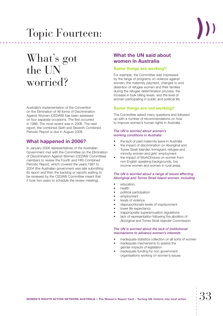## Topic Fourteen:

### What's got the UN worried?

Australia's implementation of the Convention on the Elimination of All forms of Discrimination Against Women (CEDAW) has been assessed on four separate occasions. The first occurred in 1988. The most recent was in 2006. The next report, the combined Sixth and Seventh Combined Periodic Report is due in August 2008.

#### **What happened in 2006?**

In January 2006 representatives of the Australian Government met with the Committee on the Elimination of Discrimination Against Women (CEDAW Committee) members to review the Fourth and Fifth Combined Periodic Report, which covered the years 1997 to 2004 (the Australian government was late submitting its report and then the backlog or reports waiting to be reviewed by the CEDAW Committee meant that it took two years to schedule the review meeting).

#### **What the UN said about WOMEN IN !USTRALIA**

#### **Some things are working!!**

For example, the Committee was impressed by the range of programs on violence against women, the maternity payment, changes to end detention of refugee women and their families during the refugee determination process, the increase in bulk billing levels, and the level of women participating in public and political life.

#### **Some things are not working!!**

The Committee asked many questions and followed up with a number of recommendations on how to improve women's human rights in Australia.

#### *The UN is worried about women's working conditions in Australia*

- the lack of paid maternity leave in Australia
- the impact of discrimination on Aboriginal and Torres Strait Islander, immigrant, refugee and minority women and girls' employment
- the impact of WorkChoices on women from non English speaking backgrounds, low income women and women in rural areas.

#### *The UN is worried about a range of issues affecting Aboriginal and Torres Strait Island women, including*

- education.
- health
- political participation
- employment
- levels of violence
- disproportionate levels of imprisonment
- lower life expectancy
- inappropriate superannuation regulations
- lack of representation following the abolition of Aboriginal and Torres Strait Islander Commission

#### *The UN is worried about the lack of institutional mechanisms to advance women's interests*

- inadequate statistics collection on all sorts of women
- inadequate mechanisms to assess the gender impacts of legislation
- inadequate funding for non government organisations working on women's issues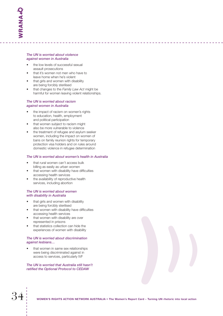*The UN is worried about violence against women in Australia* 

- the low levels of successful sexual assault prosecutions
- that it's women not men who have to leave home when he's violent
- that girls and women with disability are being forcibly sterilised
- that changes to the *Family Law Act* might be harmful for women leaving violent relationships.

#### *The UN is worried about racism against women in Australia*

- the impact of racism on women's rights to education, health, employment and political participation
- that women subject to racism might also be more vulnerable to violence
- the treatment of refugee and asylum seeker women, including the impact on women of bans on family reunion rights for temporary protection visa holders and on rules around domestic violence in refugee determination

#### *The UN is worried about women's health in Australia*

- that rural women can't access bulk billing as easily as urban women
- that women with disability have difficulties accessing health services
- the availability of reproductive health services, including abortion

#### *The UN is worried about women with disability in Australia*

- that girls and women with disability are being forcibly sterilised
- that women with disability have difficulties accessing health services
- that women with disability are over represented in prisons
- that statistics collection can hide the experiences of women with disability

#### *The UN is worried about discrimination against lesbians…*

that women in same sex relationships were being discriminated against in access to services, particularly IVF

*The UN is worried that Australia still hasn't ratified the Optional Protocol to CEDAW*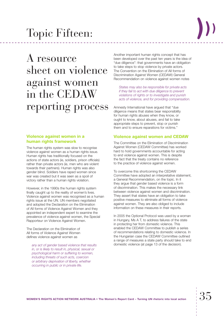## Topic Fifteen:

### A resource sheet on violence against women in the CEDAW reporting process

been developed over the past ten years is the idea of "due diligence": that governments have an obligation to take steps to stop violence by private actors. The Convention on the Elimination of All forms of Discrimination Against Women (CEDAW) General Recommendation on violence against women notes

Another important human rights concept that has

*States may also be responsible for private acts if they fail to act with due diligence to prevent violations of rights or to investigate and punish acts of violence, and for providing compensation.*

Amnesty International have argued that "due diligence means that states bear responsibility for human rights abuses when they know, or ought to know, about abuses, and fail to take appropriate steps to prevent, stop or punish them and to ensure reparations for victims."

#### **Violence against women in a human** rights framework

The human rights system was slow to recognise violence against women as a human rights issue. Human rights has traditionally focused on the actions of state actors (ie, soldiers, prison officials) rather than private actors (ie, men who are violent towards their partners). Human rights was also gender blind. Soldiers have raped women since war was created but it was seen as a spoil of victory rather than a human rights violation.

However, in the 1990s the human rights system finally caught up to the reality of women's lives. Violence against women was recognised as a human rights issue at the UN. UN members negotiated and adopted the Declaration on the Elimination of All forms of Violence Against Women and they appointed an independent expert to examine the prevalence of violence against women, the Special Rapporteur on Violence Against Women.

The Declaration on the Elimination of All forms of Violence Against Women defines violence against women as

*any act of gender based violence that results in, or is likely to result in, physical, sexual or psychological harm or suffering to women, including threats of such acts, coercion or arbitrary deprivation of liberty, whether occurring in public or in private life.* 

#### **Kiolence against women and CEDAW**

The Committee on the Elimination of Discrimination Against Women (CEDAW Committee) has worked hard to hold governments accountable for acting to end violence against women. This is despite the fact that the treaty contains no reference to the practice of violence against women.

To overcome this shortcoming the CEDAW Committee have adopted an interpretative statement, a General Recommendation, on the topic. In it they argue that gender based violence is a form of discrimination. This makes the necessary link between violence against women and discrimination. They assert that states have an obligation to take positive measures to eliminate all forms of violence against women. They are also obliged to include information on these measures in their reports.

In 2005 the Optional Protocol was used by a woman in Hungary, Ms A T, to address failures of the state in protecting her from domestic violence. This enabled the CEDAW Committee to publish a series of recommendations relating to domestic violence. In the Hungarian case the CEDAW Committee outlined a range of measures a state party should take to end domestic violence (at page 13 of the decision).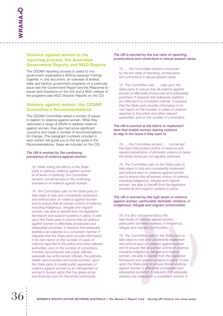#### **Violence against women in the reporting process: the Australian Government Reports and NGO Reports**

The CEDAW reporting process is useful to non government organisations (NGOs) because it brings together, in one document, an overview of federal, state and territory government programs on a particular issue (see the Government Report and the Response to Issues and Questions on the CD) and a NGO critique of the programs (see NGO Shadow Reports on the CD).

#### **Kiolence against women: the CEDAW Committee's Recommendations**

The CEDAW Committee raised a number of issues in relation to violence against women. While they welcomed a range of efforts to address violence against women, they also had some significant concerns and made a number of recommendations for change. (The paragraph numbers included in each extract will guide you to the full quote in the Recommendations, these are included on the CD).

#### *The UN is worried by the continuing prevalence of violence against women:*

*18. While noting the efforts of the State party to address violence against women at all levels of authority, the Committee remains concerned about the continuing prevalence of violence against women…*

*19. The Committee calls on the State party to take steps to fully and consistently implement and enforce laws on violence against women and to ensure that all women victims of violence, including indigenous, refugee and migrant women, are able to benefit from the legislative framework and support systems in place. It calls upon the State party to ensure that all violence against women is effectively prosecuted and adequately punished. It requests that adequate statistics be collected in a consistent manner. It requests that the State party provide information in its next report on the number of cases of violence reported to the police and other relevant authorities, and on the number of convictions. It further recommends that public officials, especially law enforcement officials, the judiciary, health care providers and social workers, upon the State party to create public awareness of violence against women as an infringement of women's human rights that has grave social and financial costs for the whole community.*

#### *The UN is worried by the low rates of reporting, prosecutions and convictions in sexual assault cases:*

*18. … the Committee remains concerned … by the low rates of reporting, prosecutions and convictions in sexual assault cases.* 

*19. The Committee calls … calls upon the State party to ensure that all violence against women is effectively prosecuted and adequately punished. It requests that adequate statistics be collected in a consistent manner. It requests that the State party provide information in its next report on the number of cases of violence reported to the police and other relevant authorities, and on the number of convictions.* 

#### *The UN is worried at the failure to implement laws that enable women leaving violence to stay in the home if they want to*

*18. … the Committee remains … concerned that laws that protect victims of violence and require perpetrators of domestic violence to leave the family home are not regularly enforced.* 

aws on violence against women<br>that all women victims of violence,<br>genous, refugee and migrant<br>ble to benefit from the legislative<br>d support systems in place.<br>**ed by the high levels of violence**<br>**particularly domestic viole** *19. The Committee calls on the State party to take steps to fully and consistently implement and enforce laws on violence against women and to ensure that all women victims of violence, including indigenous, refugee and migrant women, are able to benefit from the legislative framework and support systems in place.* 

#### *The UN is worried by the high levels of violence against women, particularly domestic violence, in indigenous, refugee and migrant communities*

*18. It is also concerned about the high levels of violence against women, particularly domestic violence, in indigenous, refugee and migrant communities.*

*19. The Committee calls on the State party to take steps to fully and consistently implement and enforce laws on violence against women and to ensure that all women victims of violence, including indigenous, refugee and migrant women, are able to benefit from the legislative framework and support systems in place. It calls upon the State party to ensure that all violence against women is effectively prosecuted and adequately punished. It requests that adequate statistics be collected in a consistent manner. It*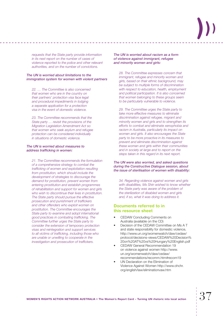*requests that the State party provide information in its next report on the number of cases of violence reported to the police and other relevant authorities, and on the number of convictions.* 

#### *The UN is worried about limitations to the immigration system for women with violent partners*

*22. … The Committee is also concerned that women who are in the country on their partners' protection visa face legal and procedural impediments in lodging a separate application for a protection visa in the event of domestic violence.*

*23. The Committee recommends that the State party … revisit the provisions of the Migration Legislation Amendment Act so that women who seek asylum and refugee protection can be considered individually in situations of domestic violence.*

#### *The UN is worried about measures to address trafficking in women:*

*21. The Committee recommends the formulation of a comprehensive strategy to combat the trafficking of women and exploitation resulting from prostitution, which should include the development of strategies to discourage the demand for prostitution, prevent women from entering prostitution and establish programmes of rehabilitation and support for women and girls who wish to discontinue their lives in prostitution. The State party should pursue the effective prosecution and punishment of traffickers and other offenders who exploit women on prostitution. The Committee encourages the State party to examine and adopt international good practices in combating trafficking. The Committee further urges the State party to consider the extension of temporary protection visas and reintegration and support services to all victims of trafficking, including those who are unable or unwilling to cooperate in the investigation and prosecution of traffickers.*

*The UN is worried about racism as a form of violence against immigrant, refugee and minority women and girls:*

*28. The Committee expresses concern that immigrant, refugee and minority women and girls, based on their ethnic background, may be subject to multiple forms of discrimination with respect to education, health, employment and political participation. It is also concerned that women belonging to these groups seem to be particularly vulnerable to violence.*

*29. The Committee urges the State party to take more effective measures to eliminate discrimination against refugee, migrant and minority women and girls and to strengthen its efforts to combat and eliminate xenophobia and racism in Australia, particularly its impact on women and girls. It also encourages the State party to be more proactive in its measures to prevent and eliminate discrimination against these women and girls within their communities and in society at large and to report on the steps taken in this regard in its next report.*

*The UN were also worried, and asked questions during the Constructive Dialogue session, about the issue of sterilisation of women with disability:*

*34. Regarding violence against women and girls with disabilities, Ms Shin wished to know whether the State party was aware of the problem of the sterilization of disabled women and girls and, if so, what it was doing to address it.*

#### **Documents referred to in THIS RESOURCE SHEET**

- CEDAW Concluding Comments on Australia (available on the CD)
- Decision of the CEDAW Committee on Ms A T and state responsibility for domestic violence, http://www.un.org/womenwatch/daw/cedaw/ protocol/decisions-views/CEDAW%20Decision% 20on%20AT%20vs%20Hungary%20English.pdf
- CEDAW General Recommendation 19 on violence against women http://www. un.org/womenwatch/daw/cedaw/ recommendations/recomm.htm#recom19
- UN Declaration on the Elimination of Violence Against Women http://www.ohchr. org/english/law/eliminationvaw.htm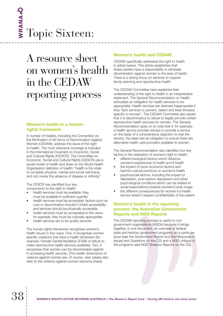# WRANA+O Topic Sixteen:

### A resource sheet on women's health in the CEDAW reporting process

#### *Women's health in a human* **Rights framework**

A number of treaties, including the Convention on the Elimination of All forms of Discrimination Against Women (CEDAW), address the issue of the right to health. The most extensive coverage is included in the International Covenant on Economic, Social and Cultural Rights (ICESCR). The Committee on Economic, Social and Cultural Rights (CESCR) use a social model of health and draw on the World Health Organisation definition of health: "health is the state of complete physical, mental and social well being and not merely the absence of disease or infirmity.'

The CESCR has identified four key components to the right to health:

- health services must be available: they must be available in sufficient quantity
- health services must be accessible: factors such as cost or discrimination shouldn't inhibit accessibility and services should be physically accessible
- health services must be acceptable to the users: for example, they must be culturally appropriate
- health services are to be quality services

The human rights framework recognises women's health issues in two ways. One, it recognises women specific violations that have a health dimension (for example, Female Genital Mutilation (FGM) or failure to make reproductive health services available). Two, it recognises that women can be discriminated against in accessing health services. [The health dimensions of violence against women are, of course, vital; please also refer to the violence against women resource sheet].

#### **Women's health and CEDAW**

CEDAW specifically addresses the right to health in article twelve. This article establishes that states parties have a responsibility to eliminate discrimination against women in the area of health. There is a strong focus on services to support family planning and reproductive health.

The CEDAW Committee have explained their understanding of the right to health in an interpretative statement. The General Recommendation on Health articulates an obligation for health services to be appropriate. Health services are deemed inappropriate if they "lack services to prevent, detect and treat illnesses specific to women". The CEDAW Committee also assert that it is discriminatory to refuse to legally provide certain reproductive health services for women. The General Recommendation goes on to note that if, for example, a health service provider refuses to provide a service on the basis of a conscientious objection to that the service, the state has an obligation to ensure there are alternative health care providers available to women.

The General Recommendation also identifies four key factors in the realisation of women's right to health:

- different biological factors which influence women's experiences of health and ill health
- the impact of socio economic factors and harmful cultural practices on women's health
- psychosocial factors, including the impact of depression, post partum depression and other psychological conditions which can be related to social expectations towards women's body image
- the different consequences for women if a health service doesn't respect confidentiality of the patient

#### *Momen's health in the reporting* **Process: the Australian Government Reports and NGO Reports**

It actors, including the impact of<br>I factors, including the impact of<br>post partum depression and other<br>al conditions which can be related to<br>tations towards women's body image<br>consequences for women if a health<br>n't respect The CEDAW reporting process is useful to non government organisations (NGOs) because it brings together, in one document, an overview of federal, state and territory government programs on a particular issue (see the Government Report and the Response to Issues and Questions on the CD) and a NGO critique of the programs (see NGO Shadow Reports on the CD).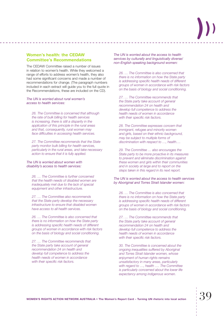#### **Women's health: the CEDAW Committee's Recommendations**

The CEDAW Committee raised a number of issues in relation to women's health. While they welcomed a range of efforts to address women's health, they also had some significant concerns and made a number of recommendations for change. (The paragraph numbers included in each extract will guide you to the full quote in the Recommendations, these are included on the CD).

*The UN is worried about rural women's access to health services:*

*26. The Committee is concerned that although the rate of bulk billing for health services is increasing, there is still a disparity in the application of this principle in the rural areas and that, consequently, rural women may face difficulties in accessing health services.* 

*27. The Committee recommends that the State party monitor bulk billing for health services, particularly in the rural areas, and take necessary action to ensure that it is fully applied.* 

*The UN is worried about women with disability's access to health services:*

*26. … The Committee is further concerned that the health needs of disabled women are inadequately met due to the lack of special equipment and other infrastructure.*

*27. … The Committee also recommends that the State party develop the necessary infrastructure to ensure that disabled women have access to all health services.*

*26. … The Committee is also concerned that there is no information on how the State party is addressing specific health needs of different groups of women in accordance with risk factors on the basis of biology and social conditioning.* 

*27. … The Committee recommends that the State party take account of general recommendation 24 on health and develop full competence to address the health needs of women in accordance with their specific risk factors.* 

*The UN is worried about the access to health services by culturally and linguistically diverse/ non-English speaking background women:*

*26. … The Committee is also concerned that there is no information on how the State party is addressing specific health needs of different groups of women in accordance with risk factors on the basis of biology and social conditioning.* 

*27. … The Committee recommends that the State party take account of general recommendation 24 on health and develop full competence to address the health needs of women in accordance with their specific risk factors.* 

*28. The Committee expresses concern that immigrant, refugee and minority women and girls, based on their ethnic background, may be subject to multiple forms of discrimination with respect to …, health….*

*29. The Committee … also encourages the State party to be more proactive in its measures to prevent and eliminate discrimination against these women and girls within their communities and in society at large and to report on the steps taken in this regard in its next report.*

*The UN is worried about the access to health services by Aboriginal and Torres Strait Islander women:*

*26. … The Committee is also concerned that there is no information on how the State party is addressing specific health needs of different groups of women in accordance with risk factors on the basis of biology and social conditioning.* 

*27. … The Committee recommends that the State party take account of general recommendation 24 on health and develop full competence to address the health needs of women in accordance with their specific risk factors.* 

*30. The Committee is concerned about the ongoing inequalities suffered by Aboriginal and Torres Strait Islander women, whose enjoyment of human rights remains unsatisfactory in many areas, particularly with regard to …, health …. The Committee is particularly concerned about the lower life expectancy among indigenous women.*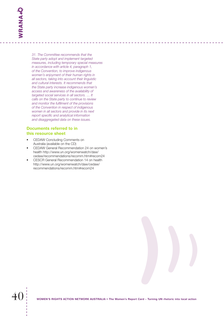*31. The Committee recommends that the State party adopt and implement targeted measures, including temporary special measures in accordance with article 4, paragraph 1, of the Convention, to improve indigenous women's enjoyment of their human rights in all sectors, taking into account their linguistic and cultural interests. It recommends that the State party increase indigenous women's access and awareness of the availability of targeted social services in all sectors. … It calls on the State party to continue to review and monitor the fulfilment of the provisions of the Convention in respect of indigenous women in all sectors and provide in its next report specific and analytical information and disaggregated data on these issues.*

#### **Documents referred to in THIS RESOURCE SHEET**

- CEDAW Concluding Comments on Australia (available on the CD)
- CEDAW General Recommendation 24 on women's health http://www.un.org/womenwatch/daw/ cedaw/recommendations/recomm.htm#recom24
- CESCR General Recommendation 14 on health http://www.un.org/womenwatch/daw/cedaw/ recommendations/recomm.htm#recom24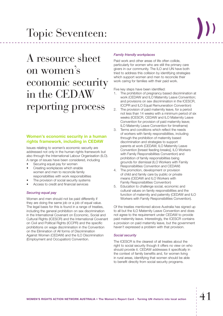# Topic Seventeen:

### A resource sheet on women's economic security in the CEDAW reporting process

#### **Women's economic security in a human**  $r$  **ights framework, including in CEDAW**

Issues relating to women's economic security are addressed not only in the human rights framework but also through the International Labour Organisation (ILO). A range of issues have been considered, including

- Securing equal pay for women
- Creating workplaces which enable women and men to reconcile family responsibilities with work responsibilities
- The provision of social security systems
- Access to credit and financial services

#### *Securing equal pay*

Women and men should not be paid differently if they are doing the same job or a job of equal value. The legal basis for this is found in a range of treaties, including the general prohibition on sex discrimination in the International Covenant on Economic, Social and Cultural Rights (ICESCR) and the International Covenant on Civil and Political Rights (ICCPR) and the specific prohibitions on wage discrimination in the Convention on the Elimination of All forms of Discrimination Against Women (CEDAW) and the ILO Discrimination (Employment and Occupation) Convention.

#### *Family friendly workplaces*

Paid work and other areas of life often collide, particularly for women who are still the primary care givers in our community. The ILO and UN have both tried to address this collision by identifying strategies which support women and men to reconcile their work caring for families with their paid work.

Five key steps have been identified:

- 1. The prohibition of pregnancy based discrimination at work (CEDAW and ILO Maternity Leave Convention; and provisions on sex discrimination in the ICESCR, ICCPR and ILO Equal Remuneration Convention)
- 2. The provision of paid maternity leave, for a period not less than 14 weeks with a minimum period of six weeks (ICESCR, CEDAW and ILO Maternity Leave Convention for provision of paid maternity leave; ILO Maternity Leave Convention for timeframe)
- Terms and conditions which reflect the needs of workers with family responsibilities, including through the prohibition of maternity based discrimination and strategies to support parents at work (CEDAW, ILO Maternity Leave Convention [breast feeding breaks], ILO Workers with Family Responsibilities Convention) and prohibition of family responsibilities being grounds for dismissal (ILO Workers with Family Responsibilities Convention and CEDAW)
- 4. The promotion, development or provision of child and family care by public or private means (CEDAW and ILO Workers with Family Responsibilities Convention)
- 5. Education to challenge social, economic and cultural values on family responsibilities and the function of maternity and paternity (CEDAW and ILO Workers with Family Responsibilities Convention).

Of the treaties mentioned above Australia has signed up to all but the ILO Maternity Leave Convention and does not agree to the requirement under CEDAW to provide paid maternity leave. Interestingly, the ICESCR contains a provision on paid maternity leave, but the government haven't expressed a problem with that provision.

#### *Social security*

The ICESCR is the clearest of all treaties about the right to social security though it offers no view on who should provide it. CEDAW addresses it specifically in the context of family benefits and, for women living in rural areas, identifying that women should be able to benefit directly from social security programs.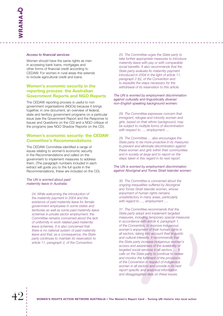#### *Access to financial services*

Women should have the same rights as men in accessing bank loans, mortgages and other forms of financial credit according to CEDAW. For women in rural areas this extends to include agricultural credit and loans.

#### *Yomen's* **economic security in the reporting process: the Australian Government Reports and NGO Reports**

The CEDAW reporting process is useful to non government organisations (NGOs) because it brings together, in one document, an overview of federal, state and territory government programs on a particular issue (see the Government Report and the Response to Issues and Questions on the CD) and a NGO critique of the programs (see NGO Shadow Reports on the CD).

#### *Women's economic security: the CEDAW* **Committee's Recommendations**

The CEDAW Committee identified a range of issues relating to women's economic security in the Recommendations and called on the government to implement measures to address them. (The paragraph numbers included in each extract will guide you to the full quote in the Recommendations, these are included on the CD).

#### *The UN is worried about paid maternity leave in Australia:*

*24. While welcoming the introduction of the maternity payment in 2004 and the existence of paid maternity leave for female government employees in some states and territories as well as some paid maternity leave schemes in private sector employment, the Committee remains concerned about the lack of uniformity in work related paid maternity leave schemes. It is also concerned that there is no national system of paid maternity leave and that, as a consequence, the State party continues to maintain its reservation to article 11, paragraph 2, of the Convention.*

*25. The Committee urges the State party to take further appropriate measures to introduce maternity leave with pay or with comparable social benefits. It also recommends that the State party evaluate its maternity payment introduced in 2004 in the light of article 11, paragraph 2 (b), of the Convention and to expedite the steps necessary for the withdrawal of its reservation to this article.*

*The UN is worried by employment discrimination against culturally and linguistically diverse/ non-English speaking background women:*

*28. The Committee expresses concern that immigrant, refugee and minority women and girls, based on their ethnic background, may be subject to multiple forms of discrimination with respect to …, employment….*

*29. The Committee … also encourages the State party to be more proactive in its measures to prevent and eliminate discrimination against these women and girls within their communities and in society at large and to report on the steps taken in this regard in its next report.*

#### *The UN is worried by employment discrimination against Aboriginal and Torres Strait Islander women:*

*30. The Committee is concerned about the ongoing inequalities suffered by Aboriginal and Torres Strait Islander women, whose enjoyment of human rights remains unsatisfactory in many areas, particularly with regard to …, employment ….* 

mittee is concerned about the<br>mittee is concerned about the<br>nalities suffered by Aboriginal<br>rait Islander women, whose<br>human rights remains<br>in many areas, particularly<br>..., employment ...<br>mittee recommends that the<br>dopt an *31. The Committee recommends that the State party adopt and implement targeted measures, including temporary special measures in accordance with article 4, paragraph 1, of the Convention, to improve indigenous women's enjoyment of their human rights in all sectors, taking into account their linguistic and cultural interests. It recommends that the State party increase indigenous women's access and awareness of the availability of targeted social services in all sectors. … It calls on the State party to continue to review and monitor the fulfilment of the provisions of the Convention in respect of indigenous women in all sectors and provide in its next report specific and analytical information and disaggregated data on these issues.*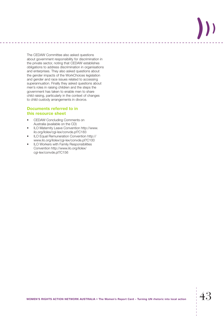The CEDAW Committee also asked questions about government responsibility for discrimination in the private sector, noting that CEDAW establishes obligations to address discrimination in organisations and enterprises. They also asked questions about the gender impacts of the WorkChoices legislation and gender and race issues related to accessing superannuation. Finally they asked questions about men's roles in raising children and the steps the government has taken to enable men to share child raising, particularly in the context of changes to child custody arrangements in divorce.

#### **Documents referred to in this resource sheet**

- CEDAW Concluding Comments on Australia (available on the CD)
- ILO Maternity Leave Convention http://www. ilo.org/ilolex/cgi-lex/convde.pl?C183
- ILO Equal Remuneration Convention http:// www.ilo.org/ilolex/cgi-lex/convde.pl?C100
- ILO Workers with Family Responsibilities Convention http://www.ilo.org/ilolex/ cgi-lex/convde.pl?C156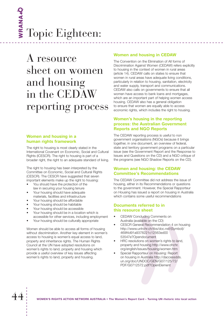# WRANA+O Topic Eighteen:

### A resource sheet on women and housing in the CEDAW reporting process

#### *Women and housing in a* **human** rights framework

The right to housing is most clearly stated in the International Covenant on Economic, Social and Cultural Rights (ICESCR). The right to housing is part of a broader right, the right to an adequate standard of living.

The right to housing has been interpreted by the Committee on Economic, Social and Cultural Rights (CESCR). The CESCR have suggested that seven important elements make up the right to housing:

- You should have the protection of the law in securing your housing tenure
- Your housing should have adequate materials, facilities and infrastructure
- Your housing should be affordable
- Your housing should be habitable
- Your housing should be accessible
- Your housing should be in a location which is accessible for other services, including employment
- Your housing should be culturally appropriate

Women should be able to access all forms of housing without discrimination. Another key element in women's access to housing is women's equal access to land, property and inheritance rights. The Human Rights Council at the UN have adopted resolutions on women's rights to land, property and housing which provide a useful overview of key issues affecting women's rights to land, property and housing.

#### **Women and housing in CEDAW**

The Convention on the Elimination of All forms of Discrimination Against Women (CEDAW) refers explicitly to housing in the context of women in rural areas (article 14). CEDAW calls on states to ensure that women in rural areas have adequate living conditions, particularly in relation to housing, sanitation, electricity and water supply, transport and communications. CEDAW also calls on governments to ensure that all women have access to bank loans and mortgages. which are an important part of helping women access housing. CEDAW also has a general obligation to ensure that women are equally able to access economic rights, which includes the right to housing.

#### *Momen's housing in the reporting* **Process: the Australian Government Reports and NGO Reports**

The CEDAW reporting process is useful to non government organisations (NGOs) because it brings together, in one document, an overview of federal, state and territory government programs on a particular issue (see the Government Report and the Response to Issues and Questions on the CD) and a NGO critique of the programs (see NGO Shadow Reports on the CD).

#### *Nomen and housing: the CEDAW* **Committee's Recommendations**

**Becommendations**<br>
In mittee did not address the issue of<br>
its Recommendations or questions<br>
Int. However, the Special Rapporteur<br>
Issued a report on housing in Australia<br>
Inne useful recommendations<br> **Propertical Comments** The CEDAW Committee did not address the issue of housing, either in its Recommendations or questions to the government. However, the Special Rapporteur on Housing has issued a report on housing in Australia which contains some useful recommendations

#### **Documents referred to in THIS RESOURCE SHEET**

- CEDAW Concluding Comments on Australia (available on the CD)
- CESCR General Recommendation 4 on housing http://www.unhchr.ch/tbs/doc.nsf/(Symbol)/ 469f4d91a9378221c12563ed00 53547e?Opendocument
- HRC resolutions on women's rights to land. property and housing http://www.ohchr. org/english/issues/housing/women.htm
- Special Rapporteur on Housing: Report on housing in Australia http://daccessdds. un.org/doc/UNDOC/GEN/G07/125/72/ PDF/G0712572.pdf?OpenElement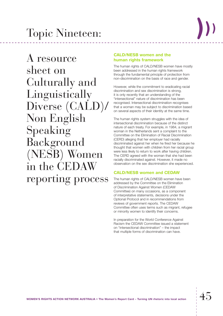## Topic Nineteen:

A resource sheet on Culturally and Linguistically Diverse (CALD)/ Non English Speaking Background (NESB) Women in the CEDAW reporting process

#### $CALD/NESB$  **women and the human** rights framework

The human rights of CALD/NESB women have mostly been addressed in the human rights framework through the fundamental principle of protection from non-discrimination on the basis of race and gender.

However, while the commitment to eradicating racial discrimination and sex discrimination is strong, it is only recently that an understanding of the "intersectional" nature of discrimination has been recognised. Intersectional discrimination recognises that a woman may be subject to discrimination based on several aspects of their identity at the same time.

The human rights system struggles with the idea of intersectional discrimination because of the distinct nature of each treaty. For example, in 1984, a migrant woman in the Netherlands sent a complaint to the Committee on the Elimination of Racial Discrimination (CERD) alleging that her employer had racially discriminated against her when he fired her because he thought that women with children from her racial group were less likely to return to work after having children. The CERD agreed with the woman that she had been racially discriminated against. However, it made no observation on the sex discrimination she experienced.

#### $CALD/NESB$  **women and CEDAW**

The human rights of CALD/NESB women have been addressed by the Committee on the Elimination of Discrimination Against Women (CEDAW Committee) on many occasions, as a component of interpretative statements, decisions under the Optional Protocol and in recommendations from reviews of government reports. The CEDAW Committee often uses terms such as migrant, refugee or minority women to identify their concerns.

In preparation for the World Conference Against Racism the CEDAW Committee issued a statement on "intersectional discrimination" – the impact that multiple forms of discrimination can have.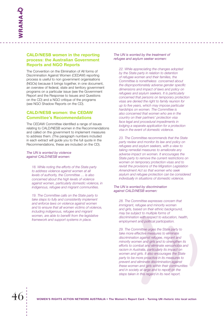#### $**CALD/NESB**$  **women in the reporting Process: the Australian Government Reports and NGO Reports**

The Convention on the Elimination of All forms of Discrimination Against Women (CEDAW) reporting process is useful to non government organisations (NGOs) because it brings together, in one document, an overview of federal, state and territory government programs on a particular issue (see the Government Report and the Response to Issues and Questions on the CD) and a NGO critique of the programs (see NGO Shadow Reports on the CD).

#### $CALD/NESB$  **women: the CEDAW Committee's Recommendations**

The CEDAW Committee identified a range of issues relating to CALD/NESB women in the Recommendations and called on the government to implement measures to address them. (The paragraph numbers included in each extract will guide you to the full quote in the Recommendations, these are included on the CD).

#### *The UN is worried by violence against CALD/NESB women:*

*18. While noting the efforts of the State party to address violence against women at all levels of authority, the Committee … is also concerned about the high levels of violence against women, particularly domestic violence, in indigenous, refugee and migrant communities.*

*19. The Committee calls on the State party to take steps to fully and consistently implement and enforce laws on violence against women and to ensure that all women victims of violence, including indigenous, refugee and migrant women, are able to benefit from the legislative framework and support systems in place.* 

*The UN is worried by the treatment of refugee and asylum seeker women:*

*22. While appreciating the changes adopted by the State party in relation to detention of refugee women and their families, the Committee is nonetheless concerned about the disproportionately adverse gender specific dimensions and impact of laws and policy on refugees and asylum seekers. It is particularly concerned that persons on temporary protection visas are denied the right to family reunion for up to five years, which may impose particular hardships on women. The Committee is also concerned that women who are in the country on their partners' protection visa face legal and procedural impediments in lodging a separate application for a protection visa in the event of domestic violence.* 

*23. The Committee recommends that the State party review and monitor its law and policy on refugees and asylum seekers, with a view to taking remedial measures to ameliorate any adverse impact on women. It encourages the State party to remove the current restrictions on women on temporary protection visas and to revisit the provisions of the Migration Legislation Amendment Act so that women who seek asylum and refugee protection can be considered individually in situations of domestic violence.*

#### *The UN is worried by discrimination against CALD/NESB women:*

Fugee protection can be considered<br>situations of domestic violence.<br>**d by discrimination**<br>**ESB women:**<br>mittee expresses concern that<br>fugee and minority women<br>ed on their ethnic background,<br>ct to multiple forms of<br>with resp *28. The Committee expresses concern that immigrant, refugee and minority women and girls, based on their ethnic background, may be subject to multiple forms of discrimination with respect to education, health, employment and political participation.* 

*29. The Committee urges the State party to take more effective measures to eliminate discrimination against refugee, migrant and minority women and girls and to strengthen its efforts to combat and eliminate xenophobia and racism in Australia, particularly its impact on women and girls. It also encourages the State party to be more proactive in its measures to prevent and eliminate discrimination against these women and girls within their communities and in society at large and to report on the steps taken in this regard in its next report.*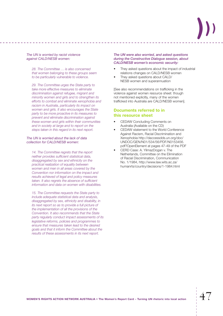*The UN is worried by racist violence against CALD/NESB women:*

*28. The Committee … is also concerned that women belonging to these groups seem to be particularly vulnerable to violence.* 

*29. The Committee urges the State party to take more effective measures to eliminate discrimination against refugee, migrant and minority women and girls and to strengthen its efforts to combat and eliminate xenophobia and racism in Australia, particularly its impact on women and girls. It also encourages the State party to be more proactive in its measures to prevent and eliminate discrimination against these women and girls within their communities and in society at large and to report on the steps taken in this regard in its next report.*

#### *The UN is worried about the lack of data collection for CALD/NESB women:*

*14. The Committee regrets that the report neither provides sufficient statistical data, disaggregated by sex and ethnicity on the practical realization of equality between women and men in all areas covered by the Convention nor information on the impact and results achieved of legal and policy measures taken. It also regrets the absence of sufficient information and data on women with disabilities.*

*15. The Committee requests the State party to include adequate statistical data and analysis, disaggregated by sex, ethnicity and disability, in its next report so as to provide a full picture of the implementation of all the provisions of the Convention. It also recommends that the State party regularly conduct impact assessments of its legislative reforms, policies and programmes to ensure that measures taken lead to the desired goals and that it inform the Committee about the results of these assessments in its next report.*

#### *The UN were also worried, and asked questions during the Constructive Dialogue session, about CALD/NESB women's economic security:*

- They asked questions about the impact of industrial relations changes on CALD/NESB women
- They asked questions about CALD/ NESB women and superannuation

[See also recommendations on trafficking in the violence against women resource sheet: though not mentioned explicitly, many of the women trafficked into Australia are CALD/NESB women].

#### **Documents referred to in THIS RESOURCE SHEET**

- CEDAW Concluding Comments on Australia (Available on the CD)
- CEDAW statement to the World Conference Against Racism, Racial Discrimination and Xenophobia http://daccessdds.un.org/doc/ UNDOC/GEN/N01/534/56/PDF/N0153456. pdf?OpenElement at pages 47-49 of the PDF
- CERD Case: A. YilmazDogan v. The Netherlands, Committee on the Elimination of Racial Discrimination, Communication No. 1/1984, http://www.law.wits.ac.za/ humanrts/country/decisions/1-1984.html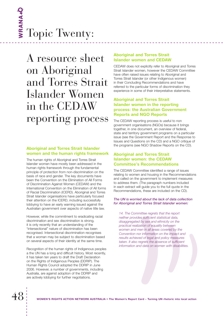# WRANA+O Topic Twenty:

A resource sheet on Aboriginal and Torres Strait Islander Women in the CEDAW reporting process

#### **Aboriginal and Torres Strait Islander WOMEN and the human rights framework**

The human rights of Aboriginal and Torres Strait Islander women have mostly been addressed in the human rights framework through the fundamental principle of protection from non-discrimination on the basis of race and gender. The key documents have been the Convention on the Elimination of All Forms of Discrimination Against Women (CEDAW) and the International Convention on the Elimination of All forms of Racial Discrimination (ICERD). Aboriginal and Torres Strait Islander organisations have particularly focused their attention on the ICERD, including successfully lobbying to have an early warning issued against the Australian government over aspects of native title law.

However, while the commitment to eradicating racial discrimination and sex discrimination is strong, it is only recently that an understanding of the "intersectional" nature of discrimination has been recognised. Intersectional discrimination recognises that a woman may be subject to discrimination based on several aspects of their identity at the same time.

Recognition of the human rights of Indigenous peoples a the UN has a long and difficult history. Most recently, it has taken ten years to draft the Draft Declaration on the Rights of Indigenous Peoples (DDRIP). The Human Rights Council adopted the DDRIP in June 2006. However, a number of governments, including Australia, are against adoption of the DDRIP and are actively lobbying for further negotiations.

#### **Aboriginal and Torres Strait Islander women and CEDAW**

CEDAW does not explicitly refer to Aboriginal and Torres Strait Islander women, however the CEDAW Committee have often raised issues relating to Aboriginal and Torres Strait Islander (or other Indigenous women) in their Concluding Recommendations and have referred to the particular forms of discrimination they experience in some of their interpretative statements.

#### **Aboriginal and Torres Strait Islander women in the reporting Process: the Australian Government Reports and NGO Reports**

The CEDAW reporting process is useful to non government organisations (NGOs) because it brings together, in one document, an overview of federal, state and territory government programs on a particular issue (see the Government Report and the Response to Issues and Questions on the CD) and a NGO critique of the programs (see NGO Shadow Reports on the CD).

#### **Aboriginal and Torres Strait Islander women: the CEDAW Committee's Recommendations**

The CEDAW Committee identified a range of issues relating to women and housing in the Recommendations and called on the government to implement measures to address them. (The paragraph numbers included in each extract will guide you to the full quote in the Recommendations, these are included on the CD).

#### *The UN is worried about the lack of data collection for Aboriginal and Torres Strait Islander women:*

**In and housing in the Recommendations**<br> **1** and housing in the Recommendations<br>
(The paragraph numbers included<br>
ill guide you to the full quote in the<br> **18**, these are included on the CD).<br> **19.4** about the lack of data *14. The Committee regrets that the report neither provides sufficient statistical data, disaggregated by sex and ethnicity on the practical realization of equality between women and men in all areas covered by the Convention nor information on the impact and results achieved of legal and policy measures taken. It also regrets the absence of sufficient information and data on women with disabilities.*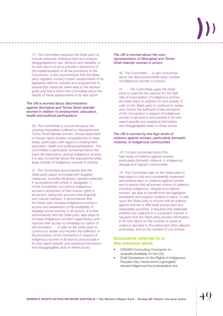*15. The Committee requests the State party to include adequate statistical data and analysis, disaggregated by sex, ethnicity and disability, in its next report so as to provide a full picture of the implementation of all the provisions of the Convention. It also recommends that the State party regularly conduct impact assessments of its legislative reforms, policies and programmes to ensure that measures taken lead to the desired goals and that it inform the Committee about the results of these assessments in its next report.*

*The UN is worried about discrimination against Aboriginal and Torres Strait Islander women in relation to employment, education, health and political participation:*

*30. The Committee is concerned about the ongoing inequalities suffered by Aboriginal and Torres Strait Islander women, whose enjoyment of human rights remains unsatisfactory in many areas, particularly with regard to employment, education, health and political participation. The Committee is particularly concerned about the lower life expectancy among indigenous women. It is also concerned about the disproportionately large number of indigenous women in prisons.*

*31. The Committee recommends that the State party adopt and implement targeted measures, including temporary special measures in accordance with article 4, paragraph 1, of the Convention, to improve indigenous women's enjoyment of their human rights in all sectors, taking into account their linguistic and cultural interests. It recommends that the State party increase indigenous women's access and awareness of the availability of targeted social services in all sectors. It further recommends that the State party take steps to increase indigenous women's legal literacy and improve their access to remedies for claims of discrimination. … It calls on the State party to continue to review and monitor the fulfilment of the provisions of the Convention in respect of indigenous women in all sectors and provide in its next report specific and analytical information and disaggregated data on these issues.*

*The UN is worried about the overrepresentation of Aboriginal and Torres Strait Islander women in prison:*

*30. The Committee … is also concerned about the disproportionately large number of indigenous women in prisons.*

*31. …. The Committee urges the State party to examine the reasons for the high rate of incarceration of indigenous women and take steps to address its root causes. It calls on the State party to continue to review and monitor the fulfilment of the provisions of the Convention in respect of indigenous women in all sectors and provide in its next report specific and analytical information and disaggregated data on these issues.*

#### *The UN is worried by the high levels of violence against women, particularly domestic violence, in Indigenous communities*

*18. It is also concerned about the high levels of violence against women, particularly domestic violence, in indigenous, refugee and migrant communities.*

*19. The Committee calls on the State party to take steps to fully and consistently implement and enforce laws on violence against women and to ensure that all women victims of violence, including indigenous, refugee and migrant women, are able to benefit from the legislative framework and support systems in place. It calls upon the State party to ensure that all violence against women is effectively prosecuted and adequately punished. It requests that adequate statistics be collected in a consistent manner. It requests that the State party provide information in its next report on the number of cases of violence reported to the police and other relevant authorities, and on the number of convictions.* 

#### **Documents referred to in THIS RESOURCE SHEET**

- CEDAW Concluding Comments on Australia (Available on the CD)
- Draft Declaration on the Rights of Indigenous Peoples http://www.ohchr.org/english/ issues/indigenous/docs/declaration.doc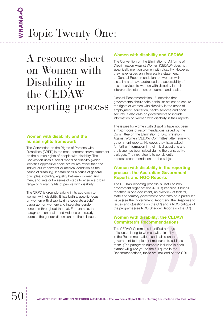# WRANA+O Topic Twenty One:

### A resource sheet on Women with Disability in the CEDAW reporting process

#### **Women with disability and the human** rights framework

The Convention on the Rights of Persons with Disabilities (CRPD) is the most comprehensive statement on the human rights of people with disability. The Convention uses a social model of disability (which identifies oppressive social structures rather than the individual's impairment or medical condition as the cause of disability). It establishes a series of general principles, including equality between women and men, and sets out a series of steps to ensure a broad range of human rights of people with disability.

The CRPD is groundbreaking in its approach to women with disability. It has both a specific focus on women with disability (in a separate article/ paragraph on women) and integrates gender concerns throughout the text. For example, the paragraphs on health and violence particularly address the gender dimensions of these issues.

#### **Women with disability and CEDAW**

The Convention on the Elimination of All forms of Discrimination Against Women (CEDAW) does not specifically mention women with disability. However, they have issued an interpretative statement, or General Recommendation, on women with disability and have addressed the accessibility of health services to women with disability in their interpretative statement on women and health.

General Recommendation 18 identifies that governments should take particular actions to secure the rights of women with disability in the areas of employment, education, health services and social security. It also calls on governments to include information on women with disability in their reports.

The issues for women with disability have not been a major focus of recommendations issued by the Committee on the Elimination of Discrimination Against Women (CEDAW Committee) after reviewing government reports. However, they have asked for further information in their initial questions and the issue has been raised during the constructive dialogue. The next step is to consistently address recommendations to the subject.

#### **Women with disability in the reporting Process: the Australian Government Reports and NGO Reports**

**Australian Government**<br> **NGO Reports**<br>
primary process is useful to non<br>
misations (NGOs) because it brings<br>
document, an overview of federal,<br> *y* government programs on a particular<br>
wernment Report and the Response to<br> The CEDAW reporting process is useful to non government organisations (NGOs) because it brings together, in one document, an overview of federal, state and territory government programs on a particular issue (see the Government Report and the Response to Issues and Questions on the CD) and a NGO critique of the programs (see NGO Shadow Reports on the CD).

#### **Women with disability: the CEDAW Committee's Recommendations**

The CEDAW Committee identified a range of issues relating to women with disability in the Recommendations and called on the government to implement measures to address them. (The paragraph numbers included in each extract will guide you to the full quote in the Recommendations, these are included on the CD).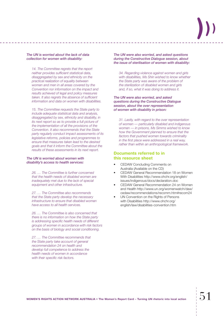#### *The UN is worried about the lack of data collection for women with disability:*

*14. The Committee regrets that the report neither provides sufficient statistical data, disaggregated by sex and ethnicity on the practical realization of equality between women and men in all areas covered by the Convention nor information on the impact and results achieved of legal and policy measures taken. It also regrets the absence of sufficient information and data on women with disabilities.*

*15. The Committee requests the State party to include adequate statistical data and analysis, disaggregated by sex, ethnicity and disability, in its next report so as to provide a full picture of the implementation of all the provisions of the Convention. It also recommends that the State party regularly conduct impact assessments of its legislative reforms, policies and programmes to ensure that measures taken lead to the desired goals and that it inform the Committee about the results of these assessments in its next report.*

#### *The UN is worried about women with disability's access to health services:*

*26. … The Committee is further concerned that the health needs of disabled women are inadequately met due to the lack of special equipment and other infrastructure.*

*27. … The Committee also recommends that the State party develop the necessary infrastructure to ensure that disabled women have access to all health services.*

*26. … The Committee is also concerned that there is no information on how the State party is addressing specific health needs of different groups of women in accordance with risk factors on the basis of biology and social conditioning.* 

*27. … The Committee recommends that the State party take account of general recommendation 24 on health and develop full competence to address the health needs of women in accordance with their specific risk factors.* 

*The UN were also worried, and asked questions during the Constructive Dialogue session, about the issue of sterilisation of women with disability:*

*34. Regarding violence against women and girls with disabilities, Ms Shin wished to know whether the State party was aware of the problem of the sterilization of disabled women and girls and, if so, what it was doing to address it.*

*The UN were also worried, and asked questions during the Constructive Dialogue session, about the over representation of women with disability in prison:*

*31. Lastly, with regard to the over representation of women — particularly disabled and indigenous women — in prisons, Ms Simms wished to know how the Government planned to ensure that the factors that pushed women towards criminality in the first place were addressed in a real way, rather than within an anthropological framework.*

#### **Documents referred to in THIS RESOURCE SHEET**

- CEDAW Concluding Comments on Australia (Available on the CD)
- CEDAW General Recommendation 18 on Women With Disabilities http://www.ohchr.org/english/ issues/indigenous/docs/declaration.doc
- CEDAW General Recommendation 24 on Women and Health http://www.un.org/womenwatch/daw/ cedaw/recommendations/recomm.htm#recom24
- UN Convention on the Rights of Persons with Disabilities http://www.ohchr.org/ english/law/disabilities-convention.htm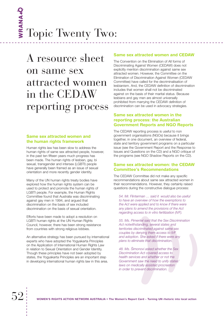# WRANA+O Topic Twenty Two:

### A resource sheet on same sex attracted women in the CEDAW reporting process

#### **Same sex attracted women and the human rights framework**

Human rights law has been slow to address the human rights of same sex attracted people, however, in the past ten fifteen years much progress has been made. The human rights of lesbian, gay, bi sexual, transgender and intersex (LGBTI) people have generally been framed as an issue of sexual orientation and more recently gender identity.

Many of the UN human rights treaty bodies have explored how the human rights system can be used to protect and promote the human rights of LGBTI people. For example, the Human Rights Committee found that Australia was discriminating against gay men in 1994, and argued that discrimination on the basis of sex included discrimination on the basis of sexual orientation.

Efforts have been made to adopt a resolution on LGBTI human rights at the UN Human Rights Council, however, there has been strong resistance from countries with strong religious lobbies.

An alternative strategy has been pursued by international experts who have adopted the Yogyakarta Principles on the Application of International Human Rights Law in relation to Sexual Orientation and Gender Identity. Though these principles have not been adopted by states, the Yogyakarta Principles are an important step in developing international human rights law in this area.

#### **Same sex attracted women and CEDAW**

The Convention on the Elimination of All forms of Discriminating Against Women (CEDAW) does not explicitly mention discrimination against same sex attracted women. However, the Committee on the Elimination of Discrimination Against Women (CEDAW Committee) have called for the decriminalisation of lesbianism. And, the CEDAW definition of discrimination includes that women shall not be discriminated against on the basis of their marital status. Because lesbians and gay men are almost universally prohibited from marrying the CEDAW definition of discrimination can be used in advocacy strategies.

#### **Same sex attracted women in the reporting process: the Australian Government Reports and NGO Reports**

The CEDAW reporting process is useful to non government organisations (NGOs) because it brings together, in one document, an overview of federal, state and territory government programs on a particular issue (see the Government Report and the Response to Issues and Questions on the CD) and a NGO critique of the programs (see NGO Shadow Reports on the CD).

#### **Same sex attracted women: the CEDAW Committee's Recommendations**

The CEDAW Committee did not make any specific recommendations about same sex attracted women in their recommendations. However, they certainly raised questions during the constructive dialogue process:

*54. Mr. Flinterman … said it would also be useful to have an overview of how the exemptions to the Act were applied and to know if there were any plans to amend the provisions of the Act regarding access to in vitro fertilization (IVF).* 

nmittee did not make any specific<br>s about same sex attracted women in<br>ations. However, they certainly raised<br>the constructive dialogue process:<br>man ... said it would also be useful<br>erview of how the exemptions to<br>applied a *55. Ms. Pimentel said that the Sex Discrimination Act notwithstanding, several states and territories discriminated against same sex couples by denying them access to IVF and adoption. She asked if there were any plans to eliminate that discrimination.* 

*48. Ms. Šimonovi asked whether the Sex Discrimination Act covered access to health services and whether or not the Government saw the need to unify states' laws on medically assisted procreation in order to prevent discrimination.*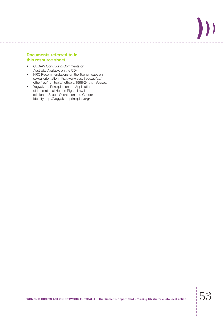#### **Documents referred to in this resource sheet**

- CEDAW Concluding Comments on Australia (Available on the CD)
- HRC Recommendations on the Toonen case on sexual orientation http://www.austlii.edu.au/au/ other/liac/hot\_topic/hottopic/1998/2/1.html#casea

• Yogyakarta Principles on the Application of International Human Rights Law in relation to Sexual Orientation and Gender Identity http://yogyakartaprinciples.org/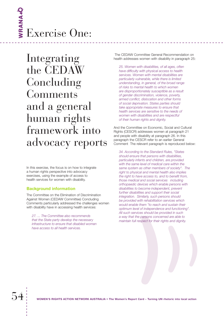Integrating the CEDAW Concluding Comments and a general human rights framework into advocacy reports

In this exercise, the focus is on how to integrate a human rights perspective into advocacy exercises, using the example of access to health services for women with disability.

#### **Background information**

The Committee on the Elimination of Discrimination Against Women (CEDAW Committee) Concluding Comments particularly addressed the challenges women with disability have in accessing health services:

*27. ... The Committee also recommends that the State party develop the necessary infrastructure to ensure that disabled women have access to all health services.*

 The CEDAW Committee General Recommendation on health addresses women with disability in paragraph 25:

*25. Women with disabilities, of all ages, often have difficulty with physical access to health services. Women with mental disabilities are particularly vulnerable, while there is limited understanding, in general, of the broad range of risks to mental health to which women are disproportionately susceptible as a result of gender discrimination, violence, poverty, armed conflict, dislocation and other forms of social deprivation. States parties should take appropriate measures to ensure that health services are sensitive to the needs of women with disabilities and are respectful of their human rights and dignity.*

And the Committee on Economic, Social and Cultural Rights (CESCR) addresses women at paragraph 21 and people with disability at paragraph 26. In this paragraph the CESCR refer to an earlier General Comment The relevant paragraph is reproduced below:

cal and mental health also implies<br>we access to, and to benefit from,<br>I and social services including<br>levices which enable persons with<br>become independent, prevent<br>tities and support their social<br>limilarly, such persons sh *34. According to the Standard Rules, "States should ensure that persons with disabilities, particularly infants and children, are provided with the same level of medical care within the same system as other members of society". The right to physical and mental health also implies the right to have access to, and to benefit from, those medical and social services including orthopaedic devices which enable persons with disabilities to become independent, prevent further disabilities and support their social integration. Similarly, such persons should be provided with rehabilitation services which would enable them "to reach and sustain their optimum level of independence and functioning". All such services should be provided in such a way that the persons concerned are able to maintain full respect for their rights and dignity.*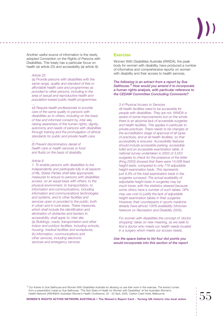Another useful source of information is the newly adopted Convention on the Rights of Persons with Disabilities. This treaty has a particular focus on health (at article 25) and accessibility (at article 9):

#### *Article 25*

*(a) Provide persons with disabilities with the same range, quality and standard of free or affordable health care and programmes as provided to other persons, including in the area of sexual and reproductive health and population-based public health programmes; …*

*(d) Require health professionals to provide care of the same quality to persons with disabilities as to others, including on the basis of free and informed consent by, inter alia, raising awareness of the human rights, dignity, autonomy and needs of persons with disabilities through training and the promulgation of ethical standards for public and private health care;* 

*(f) Prevent discriminatory denial of health care or health services or food and fluids on the basis of disability.* 

#### *Article 9*

*…*

*1. To enable persons with disabilities to live independently and participate fully in all aspects of life, States Parties shall take appropriate measures to ensure to persons with disabilities access, on an equal basis with others, to the physical environment, to transportation, to information and communications, including information and communications technologies and systems, and to other facilities and services open or provided to the public, both in urban and in rural areas. These measures, which shall include the identification and elimination of obstacles and barriers to accessibility, shall apply to, inter alia: (a) Buildings, roads, transportation and other indoor and outdoor facilities, including schools, housing, medical facilities and workplaces; (b) Information, communications and other services, including electronic services and emergency services.* 

#### **Exercise**

Women With Disabilities Australia (WWDA), the peak body for women with disability, have produced a number of informative and comprehensive reports on women with disability and their access to health services.

*The following is an extract from a report by Sue Salthouse.1 How would you amend it to incorporate a human rights analysis, with particular reference to the CEDAW Committee Concluding Comments?*

#### *3.4 Physical Access to Services*

*All health facilities need to be accessible for people with disabilities. They are not. WWDA is aware of some improvements but on the whole there is an abysmal lack of accessible surgeries and health facilities. This applies in particular to private practices. There needs to be changes at the accreditation stage of approval of all types of practices, and at all health facilities, so that accessibility is ensured. Accessibility features should include accessible parking, accessible toilet and an accessible examination table. A national survey undertaken in 2003 of 3,553 surgeries to check for the presence of the latter (King 2003) showed that there were 14,008 fixed height beds, compared to only 719 adjustable height examination beds. This represents just 4.9% of the total examination beds in the surgeries surveyed. The actual availability of adjustable height beds in surgeries may be much lower, with the statistics skewed because some clinics have a number of such tables. GPs may use cost to justify the lack of adjustable height examination tables in their surgeries. However, their counterparts in sports medicine already have almost 100% availability (Victorian Network on Recreation and Disability 2005).*

*For women with disabilities the concept of 'doctor shopping' takes on new meaning, as we seek to find a doctor who meets our health needs located in a surgery which meets our access needs.*

*Use the space below to list four dot points you would incorporate into this section of the report*

1 Our thanks to Sue Salthouse and Women With Disabilities Australia for allowing us use their work in this exercise. The extract comes from a presentation made by Sue Salthouse, "The Sick State of Health for Women with Disabilities" at the Australian Women's Health Network (AWHN)5th Australian Women's Health Conference, 20 - 22 April, 2005, Carlton Crest Hotel, Melbourne.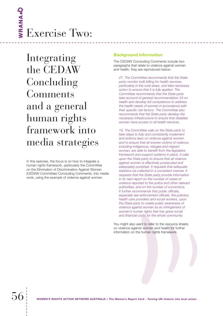# VRANA+O Exercise Two:

Integrating the CEDAW Concluding Comments and a general human rights framework into media strategies

In this exercise, the focus is on how to integrate a human rights framework, particularly the Committee on the Elimination of Discrimination Against Women (CEDAW Committee) Concluding Comments, into media work, using the example of violence against women.

#### **Background information**

The CEDAW Concluding Comments include two paragraphs that relate to violence against women and health, they are reproduced below:

*27. The Committee recommends that the State party monitor bulk billing for health services, particularly in the rural areas, and take necessary action to ensure that it is fully applied. The Committee recommends that the State party take account of general recommendation 24 on health and develop full competence to address the health needs of women in accordance with their specific risk factors. The Committee also recommends that the State party develop the necessary infrastructure to ensure that disabled women have access to all health services.*

the State party provide information: *it*<br>the State party provide information<br>ort on the number of cases of<br>rted to the police and other relevant<br>ind on the number of convictions.<br>mmends that public officials,<br>enforcement *19. The Committee calls on the State party to take steps to fully and consistently implement and enforce laws on violence against women and to ensure that all women victims of violence, including indigenous, refugee and migrant women, are able to benefit from the legislative framework and support systems in place. It calls upon the State party to ensure that all violence against women is effectively prosecuted and adequately punished. It requests that adequate statistics be collected in a consistent manner. It requests that the State party provide information in its next report on the number of cases of violence reported to the police and other relevant authorities, and on the number of convictions. It further recommends that public officials, especially law enforcement officials, the judiciary, health care providers and social workers, upon the State party to create public awareness of violence against women as an infringement of women's human rights that has grave social and financial costs for the whole community.*

You might also want to refer to the resource sheets on violence against women and health for further information on the human rights framework.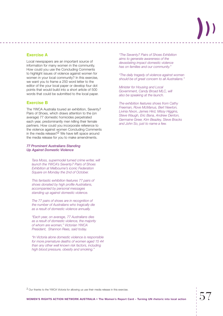#### Exercise A

Local newspapers are an important source of information for many women in the community. How could you use the Concluding Comments to highlight issues of violence against women for women in your local community? In this exercise, we want you to frame a 250 word letter to the editor of the your local paper or develop four dot points that would build into a short article of 500 words that could be submitted to the local paper.

#### **Exercise B**

The YWCA Australia toured an exhibition, Seventy7 Pairs of Shoes, which draws attention to the (on average) 77 domestic homicides perpetrated each year, predominantly men killing their female partners. How could you incorporate reference to the violence against women Concluding Comments in the media release?<sup>2</sup> We have left space around the media release for you to make amendments.

#### *77 Prominent Australians Standing Up Against Domestic Violence*

*Tara Moss, supermodel turned crime writer, will launch the YWCA's Seventy7 Pairs of Shoes Exhibition at Melbourne's iconic Federation Square on Monday the 2nd of October.*

*This fantastic exhibition features 77 pairs of shoes donated by high profile Australians, accompanied by personal messages standing up against domestic violence.*

*The 77 pairs of shoes are in recognition of the number of Australians who tragically die as a result of domestic violence annually.*

*"Each year, on average, 77 Australians dies as a result of domestic violence, the majority of whom are women," Victorian YWCA President, Shannon Rees, said today.*

*"In Victoria alone domestic violence is responsible for more premature deaths of women aged 15 44 than any other well known risk factors, including high blood pressure, obesity and smoking."*

*"The Seventy7 Pairs of Shoes Exhibition aims to generate awareness of the devastating impact domestic violence has on families and our community."*

*"The daily tragedy of violence against women should be of great concern to all Australians."*

*Minister for Housing and Local Government, Candy Broad MLC, will also be speaking at the launch.*

*The exhibition features shoes from Cathy Freeman, Rove McManus, Bert Newton, Livinia Nixon, James Hird, Missy Higgins, Steve Waugh, Eric Bana, Andrew Denton, Germaine Greer, Kim Beazley, Steve Bracks and John So, just to name a few.*

2 Our thanks to the YWCA Victoria for allowing us use their media release in this exercise.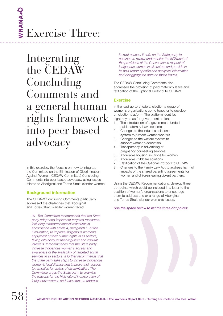Integrating the CEDAW Concluding Comments and a general human rights framework into peer based advocacy

In this exercise, the focus is on how to integrate the Committee on the Elimination of Discrimination Against Women (CEDAW Committee) Concluding Comments into peer based advocacy, using issues related to Aboriginal and Torres Strait Islander women.

#### **Background information**

The CEDAW Concluding Comments particularly addressed the challenges that Aboriginal and Torres Strait Islander women faced

*31. The Committee recommends that the State party adopt and implement targeted measures, including temporary special measures in accordance with article 4, paragraph 1, of the Convention, to improve indigenous women's enjoyment of their human rights in all sectors, taking into account their linguistic and cultural interests. It recommends that the State party increase indigenous women's access and awareness of the availability of targeted social services in all sectors. It further recommends that the State party take steps to increase indigenous women's legal literacy and improve their access to remedies for claims of discrimination. The Committee urges the State party to examine the reasons for the high rate of incarceration of indigenous women and take steps to address* 

*its root causes. It calls on the State party to continue to review and monitor the fulfillment of the provisions of the Convention in respect of indigenous women in all sectors and provide in its next report specific and analytical information and disaggregated data on these issues.*

The CEDAW Concluding Comments also addressed the provision of paid maternity leave and ratification of the Optional Protocol to CEDAW.

#### **Exercise**

In the lead up to a federal election a group of women's organisations come together to develop an election platform. The platform identifies eight key areas for government action:

- 1. The introduction of a government funded paid maternity leave scheme
- 2. Changes to the industrial relations system to protect women workers
- 3. Changes to the welfare system to support women's education
- 4. Transparency in advertising of pregnancy counselling services
- 5. Affordable housing solutions for women
- 6. Affordable childcare solutions
- 7. Ratification of the Optional Protocol to CEDAW
- 8. Changes to the Family Law Act to address harmful impacts of the shared parenting agreements for women and children leaving violent partners.

re shared parenting agreements for<br>children leaving violent partners.<br>W Recommendations, develop three<br>could be included in a letter to the<br>en's organisations to encourage<br>one or a range of Aboriginal<br>Islander women's issu Using the CEDAW Recommendations, develop three dot points which could be included in a letter to the coalition of women's organisations to encourage them to address one or a range of Aboriginal and Torres Strait Islander women's issues.

#### *Use the space below to list the three dot points:*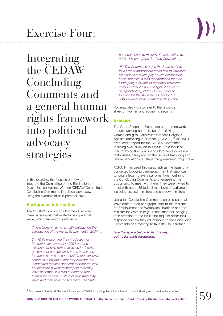### Exercise Four:

Integrating the CEDAW Concluding Comments and a general human rights framework into political advocacy strategies

In this exercise, the focus is on how to integrate the Committee on the Elimination of Discrimination Against Women (CEDAW Committee) Concluding Comments in political advocacy, using the example of paid parental leave.

#### **Background information**

The CEDAW Concluding Comments include three paragraphs that relate to paid parental leave, which are reproduced below:

#### *7. The Committee notes with satisfaction the introduction of the maternity payment in 2004 …*

*24. While welcoming the introduction of the maternity payment in 2004 and the existence of paid maternity leave for female government employees in some states and territories as well as some paid maternity leave schemes in private sector employment, the Committee remains concerned about the lack of uniformity in work related paid maternity leave schemes. It is also concerned that there is no national system of paid maternity leave and that, as a consequence, the State* 

*party continues to maintain its reservation to article 11, paragraph 2, of the Convention.*

*25. The Committee urges the State party to take further appropriate measures to introduce maternity leave with pay or with comparable social benefits. It also recommends that the State party evaluate its maternity payment introduced in 2004 in the light of article 11, paragraph 2 (b), of the Convention and to expedite the steps necessary for the withdrawal of its reservation to this article.*

You may also wish to refer to the resource sheet on women and economic security.

#### Exercise

The Good Shepherd Sisters are part of a network of nuns working on the issue of trafficking of women and girls - Australian Catholic Religious Against Trafficking in Humans (ACRATH).<sup>3</sup> ACRATH produced a report for the CEDAW Committee focusing exclusively on this issue. As a result of their lobbying the Concluding Comments contain a really useful paragraph on the issue of trafficking and recommendations on steps the government might take.

ACRATH has used this paragraph as the basis of a concerted lobbying campaign. Their first step was to write a letter to every parliamentarian outlining the Concluding Comments and requesting the opportunity to meet with them. They were invited to meet with about 35 federal members of parliament, including several ministers and shadow ministers.

Using the Concluding Comments on paid parental leave draft a three paragraph letter to the Minister for Employment and Workplace Relations and the Minister for Women or your local member, bringing their attention to the issue and request either their response on how they will respond to the Concluding Comments or a meeting to take the issue further.

*Use the space below to list the key points for each paragraph:*

3 Our thanks to the Good Shepherd Sisters and ACRATH for sharing their information with us and allowing us to use it in this exercise.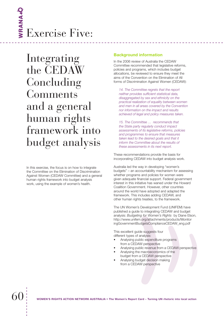Integrating the CEDAW Concluding Comments and a general human rights framework into budget analysis

In this exercise, the focus is on how to integrate the Committee on the Elimination of Discrimination Against Women (CEDAW Committee) and a general human rights framework into budget analysis work, using the example of women's health.

#### **Background information**

In the 2006 review of Australia the CEDAW Committee recommended that legislative reforms, policies and programs, which includes budget allocations, be reviewed to ensure they meet the aims of the Convention on the Elimination of All forms of Discrimination Against Women (CEDAW):

*14. The Committee regrets that the report neither provides sufficient statistical data, disaggregated by sex and ethnicity on the practical realization of equality between women and men in all areas covered by the Convention nor information on the impact and results achieved of legal and policy measures taken.* 

*15. The Committee … recommends that the State party regularly conduct impact assessments of its legislative reforms, policies and programmes to ensure that measures taken lead to the desired goals and that it inform the Committee about the results of these assessments in its next report.*

These recommendations provide the basis for incorporating CEDAW into budget analysis work.

becommasing internal in the assessing<br>
s and policies for women were<br>
nancial support. Federal government<br>
iative has waned under the Howard<br>
nent. However, other countries<br>
have adopted and adapted the<br>
ncludes adding CED Australia led the way in developing "women's budgets" – an accountability mechanism for assessing whether programs and policies for women were given adequate financial support. Federal government interest in this initiative has waned under the Howard Coalition Government. However, other countries around the world have adopted and adapted the framework. This includes adding CEDAW, and other human rights treaties, to the framework.

The UN Women's Development Fund (UNIFEM) have published a guide to integrating CEDAW and budget analysis: *Budgeting for Women's Rights* by Diane Elson, http://www.unifem.org/attachments/products/Monitor ingGovernmentBudgetsComplianceCEDAW\_eng.pdf

This excellent guide suggests four

- different types of analysis:
- Analysing public expenditure programs from a CEDAW perspective
- Analysing public revenue from a CEDAW perspective
- Analysing the macroeconomics of the budget from a CEDAW perspective
- Analysing budget decision making from a CEDAW perspective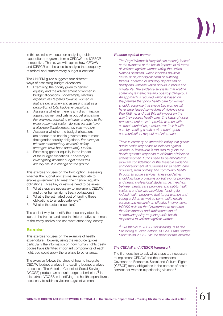In this exercise we focus on analysing public expenditure programs from a CEDAW and ICESCR perspective. That is, we will explore how CEDAW and ICESCR can be used to analyse the adequacy of federal and state/territory budget allocations.

The UNIFEM guide suggests four different ways of assessing budget allocations:

- 1. Examining the priority given to gender equality and the advancement of women in budget allocations. *For example, tracking expenditures targeted towards women or that are pro women and assessing that as a proportion of total budget expenditure.*
- 2. Assessing whether there is any discrimination against women and girls in budget allocations. *For example, assessing whether changes to the welfare payment system for sole parents have a disproportionate impact on sole mothers.*
- 3. Assessing whether the budget allocations are adequate to enable governments to meet their gender equality obligations. *For example, whether state/territory women's safety strategies have been adequately funded.*
- 4. Examining gender equality in the impact of the budget allocations. *For example, investigating whether budget measures actually result in change on the ground.*

This exercise focuses on the third option, assessing whether the budget allocations are adequate to enable governments to meet their gender equality obligations. Three key questions need to be asked

- 1. What steps are necessary to implement CEDAW and other human rights treaty obligations?
- 2. What is the estimated cost of funding these obligations to an adequate level?
- 3. What is the actual allocation?

The easiest way to identify the necessary steps is to look at the treaties and also the interpretative statements of the treaty bodies and see what steps they identify.

#### Exercise

This exercise focuses on the example of health expenditure. However, using the resource guides, particularly the information on how human rights treaty bodies have identified important components of each right, you could apply the analysis to other areas.

The exercise follows the steps of how to integrate CEDAW budget analysis into existing budget analysis processes. The Victorian Council of Social Service .<br>(VCOSS) produce an annual budget submission.<sup>4</sup> In this extract VCOSS is identifying the health expenditures necessary to address violence against women.

#### *Violence against women*

*The Royal Women's Hospital has recently looked at the evidence of the health impacts of all forms of violence against women using the United Nations definition, which includes physical, sexual or psychological harm or suffering, threats, coercion or arbitrary deprivation of liberty and violence which occurs in public and private life. The evidence suggests that routine screening is ineffective and possibly dangerous. An approach is required which is based on the premise that good health care for women should recognise that one in two women will have experienced some form of violence over their lifetime, and that this will impact on the way they access health care. The basis of good practice therefore is to provide women with as much control as possible over their health care by creating a safe environment, good communication, respect and information.*

*There is currently no statewide policy that guides public health responses to violence against women. A framework is required to guide the health system's response to all forms of violence against women. Funds need to be allocated to allow for consideration of the available evidence and development of guidelines for all health care providers, from primary and community health through to acute services. These guidelines should include provisions for training for providers and health professional students, partnerships between health care providers and public health systems and service providers, funding for federal health programs that target women and young children as well as community health centres and research on effective interventions. VCOSS calls on the Government to resource the development and implementation of a statewide policy to guide public health responses to violence against women.*

*4 Our thanks to VCOSS for allowing us to use Sustaining a Fairer Victoria: VCOSS State Budget Submission 2006-07as the basis for this exercise.* 

#### *The CEDAW and ICESCR framework*

The first question to ask what steps are necessary to implement CEDAW and the International Covenant on Economic, Social and Cultural Rights (ICESCR) treaty obligations in the context of health services for women experiencing violence?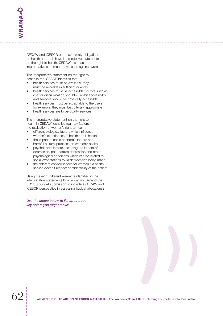CEDAW and ICESCR both have treaty obligations on health and both have interpretative statements on the right to health. CEDAW also has an interpretative statement on violence against women.

The interpretative statement on the right to health in the ICESCR identifies that:

- health services must be available: they must be available in sufficient quantity
- health services must be accessible: factors such as cost or discrimination shouldn't inhibit accessibility and services should be physically accessible
- health services must be acceptable to the users: for example, they must be culturally appropriate
- health services are to be quality services

The interpretative statement on the right to health in CEDAW identifies four key factors in the realisation of women's right to health:

- different biological factors which influence women's experiences of health and ill health
- the impact of socio economic factors and harmful cultural practices on women's health
- psychosocial factors, including the impact of depression, post partum depression and other psychological conditions which can be related to social expectations towards women's body image
- the different consequences for women if a health service doesn't respect confidentiality of the patient

Using the eight different elements identified in the interpretative statements how would you amend the VCOSS budget submission to include a CEDAW and ICESCR perspective in assessing budget allocations?

*Use the space below to list up to three key points you might make:*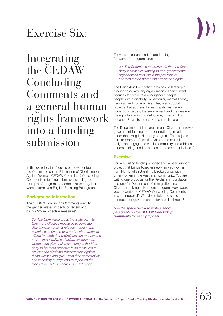### Exercise Six:

Integrating the CEDAW Concluding Comments and a general human rights framework into a funding submission

In this exercise, the focus is on how to integrate the Committee on the Elimination of Discrimination Against Women (CEDAW Committee) Concluding Comments in funding submissions, using the example of programs to address racism against women from Non English Speaking Backgrounds.

#### **Background information**

The CEDAW Concluding Comments identify the gender related impacts of racism and call for "more proactive measures".

*29. The Committee urges the State party to take more effective measures to eliminate discrimination against refugee, migrant and minority women and girls and to strengthen its efforts to combat and eliminate xenophobia and racism in Australia, particularly its impact on women and girls. It also encourages the State party to be more proactive in its measures to prevent and eliminate discrimination against these women and girls within their communities and in society at large and to report on the steps taken in this regard in its next report.*

They also highlight inadequate funding for women's programming:

*32. The Committee recommends that the State party increase its funding to non-governmental organizations involved in the provision of services for the promotion of women's rights…*

The Reichstein Foundation provides philanthropic funding to community organisations. Their current priorities for projects are indigenous people, people with a disability (in particular, mental illness), newly arrived communities. They also support projects that address: human rights, justice and corrections issues, the environment and the western metropolitan region of Melbourne, in recognition of Lance Reichstein's involvement in this area.

The Department of Immigration and Citizenship provide government funding to not for profit organisation under the Living in Harmony program. The projects "aim to promote Australian values and mutual obligation, engage the whole community and address understanding and intolerance at the community level."

#### Exercise

You are writing funding proposals for a peer support project that brings together newly arrived women from Non English Speaking Backgrounds with other women in the Australian community. You are writing one proposal for the Reichstein Foundation and one for Department of Immigration and Citizenship Living in Harmony program. How would you integrate the CEDAW Concluding Comments in each proposal? Would you take the same approach for government as for a philanthropic?

*Use the space below to write a short paragraph on the CEDAW Concluding Comments for each proposal:*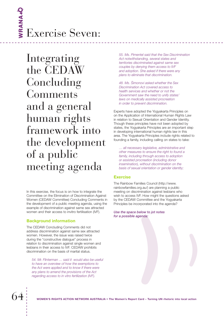Integrating the CEDAW Concluding Comments and a general human rights framework into the development of a public meeting agenda

In this exercise, the focus is on how to integrate the Committee on the Elimination of Discrimination Against Women (CEDAW Committee) Concluding Comments in the development of a public meeting agenda, using the example of discrimination against same sex attracted women and their access to invitro fertilisation (IVF).

#### **Background information**

The CEDAW Concluding Comments did not address discrimination against same sex attracted women. However, the issue was raised twice during the "constructive dialogue" process in relation to discrimination against single women and lesbians in their access to IVF. CEDAW prohibits discrimination on the basis of marital status.

*54. Mr. Flinterman … said it would also be useful to have an overview of how the exemptions to the Act were applied and to know if there were any plans to amend the provisions of the Act regarding access to in vitro fertilization (IVF).* 

*55. Ms. Pimentel said that the Sex Discrimination Act notwithstanding, several states and territories discriminated against same sex couples by denying them access to IVF and adoption. She asked if there were any plans to eliminate that discrimination.* 

*48. Ms. Šimonovi asked whether the Sex Discrimination Act covered access to health services and whether or not the Government saw the need to unify states' laws on medically assisted procreation in order to prevent discrimination.*

Experts have adopted the Yogyakarta Principles on on the Application of International Human Rights Law in relation to Sexual Orientation and Gender Identity. Though these principles have not been adopted by states, the Yogyakarta Principles are an important step in developing international human rights law in this area. The Yogyakarta Principles include rights related to founding a family, including calling on states to take:

*… all necessary legislative, administrative and other measures to ensure the right to found a family, including through access to adoption or assisted procreation (including donor insemination), without discrimination on the basis of sexual orientation or gender identity;*

#### **Exercise**

milies Council (http://www.<br>rg.au/) are planning a public<br>mination against lesbians who<br>F. How might the questions asked<br>committee and the Yogyakarta<br>prorated into the agenda?<br>**elow to jot notes**<br>**genda:** The Rainbow Families Council (http://www. rainbowfamilies.org.au/) are planning a public meeting on discrimination against lesbians who wish to access IVF. How might the questions asked by the CEDAW Committee and the Yogyakarta Principles be incorporated into the agenda?

*Use the space below to jot notes for a possible agenda:*

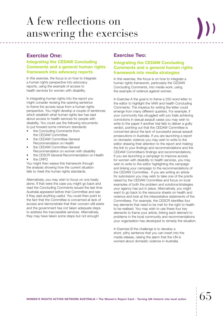### A few reflections on answering the exercises

#### **Exercise One:**

#### **Integrating the CEDAW Concluding Comments and a general human rights framework into advocacy reports**

In this exercise, the focus is on how to integrate a human rights perspective into advocacy reports, using the example of access to health services for women with disability.

In integrating human rights into the report you might consider revising the opening sentence to frame the access issue from a human rights perspective. You might develop a couple of sentences which establish what human rights law has said about access to health services for people with disability. You could use the following documents to put forward some minimum standards:

- the Concluding Comments from the CEDAW Committee
- the CEDAW Committee General Recommendation on Health
- the CFDAW Committee General Recommendation on women with disability
- the CESCR General Recommendation on Health
- $the C$ RPD

You might then weave this framework through the analysis showing how the current situation fails to meet the human rights standards.

Alternatively, you may wish to focus on one treaty alone. If that were the case you might go back and read the Concluding Comments issued the last time Australia appeared before that Committee and see if they said anything useful. You could then point to the fact that the Committee is concerned at lack of access and demonstrate that their concern still exists and the government has not taken adequate steps to address the inaccessible services. Alternatively, they may have taken some steps but not enough!

#### **Exercise Two:**

#### **Integrating the CEDAW Concluding Comments and a general human rights framework into media strategies**

In this exercise, the focus is on how to integrate a human rights framework, particularly the CEDAW Concluding Comments, into media work, using the example of violence against women.

In Exercise A the goal is to frame a 250 word letter to the editor to highlight the VAW and health Concluding Comments. The impetus for writing the letter could emerge from many different quarters. For example, if your community has struggled with jury trials achieving convictions in sexual assault cases you may wish to write to the paper if another trial fails to deliver a guilty verdict, pointing out that the CEDAW Committee is concerned about the lack of successful sexual assault prosecutions in Australia. If you are launching a report on domestic violence you may wish to write to the editor drawing their attention to the report and making the link to your findings and recommendations and the CEDAW Committee's findings and recommendations. If you are launching a campaign to improve access for women with disability to health services, you may wish to write to the editor highlighting the campaign and linking your campaign to the recommendations of the CEDAW Committee. If you are writing an article for submission you may wish to take one of the points raised by the CEDAW Committee and focus on local examples of both the problem and solutions/strategies your agency has put in place. Alternatively, you might want to go back to the resource sheets on health and violence and look at the interpretative statements of the Committees. For example, the CESCR identifies four key elements that need to be met for the right to health to be realised. You may wish to use these four key elements to frame your article, linking each element to problems in the local community and recommendations your organisation has developed to remedy the situation.

In Exercise B the challenge is to develop a short, pithy sentence that you can insert into the media release, raising the alarm that the UN is worried about domestic violence in Australia.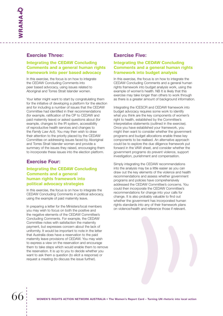#### **Exercise Three:**

#### **Integrating the CEDAW Concluding Comments and a general human rights framework into peer based advocacy**

In this exercise, the focus is on how to integrate the CEDAW Concluding Comments into peer based advocacy, using issues related to Aboriginal and Torres Strait Islander women.

Your letter might want to start by congratulating them for the initiative of developing a platform for the election and for including a number of issues that the CEDAW Committee had identified in their recommendations (for example, ratification of the OP to CEDAW and paid maternity leave) or asked questions about (for example, changes to the IR system, accessibility of reproductive health services and changes to the *Family Law Act*). You may then wish to draw their attention to the priority placed by the CEDAW Committee on addressing issues faced by Aboriginal and Torres Strait Islander women and provide a summary of the issues they raised, encouraging them to incorporate these issues into the election platform.

#### Exercise Four:

#### **Integrating the CEDAW Concluding Comments and a general HUMAN RIGHTS FRAMEWORK INTO POLITICAL ADVOCACY STRATEGIES**

In this exercise, the focus is on how to integrate the CEDAW Concluding Comments in political advocacy, using the example of paid maternity leave.

In preparing a letter for the Ministers/local members you may wish to focus on both the positive and the negative elements of the CEDAW Committee's Concluding Comments. For example, the CEDAW Committee notes with satisfaction the maternity payment, but expresses concern about the lack of uniformity. It would be important to note in the letter that Australia does have a reservation to the paid maternity leave provisions of CEDAW. You may wish to express a view on the reservation and encourage them to take steps which would enable them to remove the reservation. It is up to you to decide whether you want to ask them a question (to elicit a response) or request a meeting (to discuss the issue further).

#### **Exercise Five:**

#### **Integrating the CEDAW Concluding Comments and a general human rights framework into budget analysis**

In this exercise, the focus is on how to integrate the CEDAW Concluding Comments and a general human rights framework into budget analysis work, using the example of women's health. NB It is likely that this exercise may take longer than others to work through as there is a greater amount of background information.

Integrating the ICESCR and CEDAW framework into budget advocacy requires some work to identify what you think are the key components of women's right to health, established by the Committee's interpretative statements (outlined in the exercise). Once you have established your framework, you might then want to consider whether the government programs and budget allocations enable these key components to be realised. An alternative approach could be to explore the due diligence framework put forward in the VAW sheet, and consider whether the government programs do prevent violence, support investigation, punishment and compensation.

elements of the violence and health<br>s and assess whether government<br>licies have comprehensively<br>EDAW Committee's concerns. You<br>orate the CEDAW Committee's<br>s for change into your calls for<br>probably valuable to find out<br>rrnm Simply integrating the CEDAW recommendations into the analysis may be a little easier as you can draw out the key elements of the violence and health recommendations and assess whether government programs and policies have comprehensively addressed the CEDAW Committee's concerns. You could then incorporate the CEDAW Committee's recommendations for change into your calls for change. It is also probably valuable to find out whether the government has incorporated human rights standards into any of their framework plans on violence/health and reference those if relevant.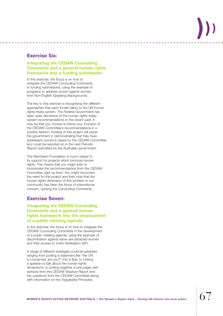#### **Exercise Six:**

#### **Integrating the CEDAW Concluding Comments and a general human rights framework** into a funding submission

In this exercise, the focus is on how to integrate the CEDAW Concluding Comments in funding submissions, using the example of programs to address racism against women from Non English Speaking Backgrounds.

The key to this exercise is recognising the different approaches that each funder takes to the UN human rights treaty system. The Federal Government has been quite dismissive of the human rights treaty system recommendations in the recent past. It may be that you choose to frame your inclusion of the CEDAW Committee's recommendations in a positive fashion: funding of this project will assist the government in demonstrating that they have addressed concerns raised by the CEDAW Committee and could be reported on in the next Periodic Report submitted by the Australian government.

The Reichstein Foundation is much clearer in its support for projects which promote human rights. This means that you might wish to incorporate the recommendations from the CEDAW Committee right up front. You might document the need for the project and then note that the human rights dimension of this problem in our community has been the focus of international concern, quoting the Concluding Comments.

#### **Exercise Seven:**

#### **Integrating the CEDAW Concluding Comments and a general human Rights framework into the development Of** a public meeting agenda

In this exercise, the focus is on how to integrate the CEDAW Concluding Comments in the development of a public meeting agenda, using the example of discrimination against same sex attracted women and their access to invitro fertilisation (IVF).

A range of different strategies could be adopted, ranging from putting a statement like "the UN is concerned, are you?" into a flyer, to inviting a speaker to talk about the human-rights dimensions, to putting together a one-pager with extracts from the CEDAW Shadow Report and the questions from the CEDAW Committee along with information on the Yogyakarta Principles.